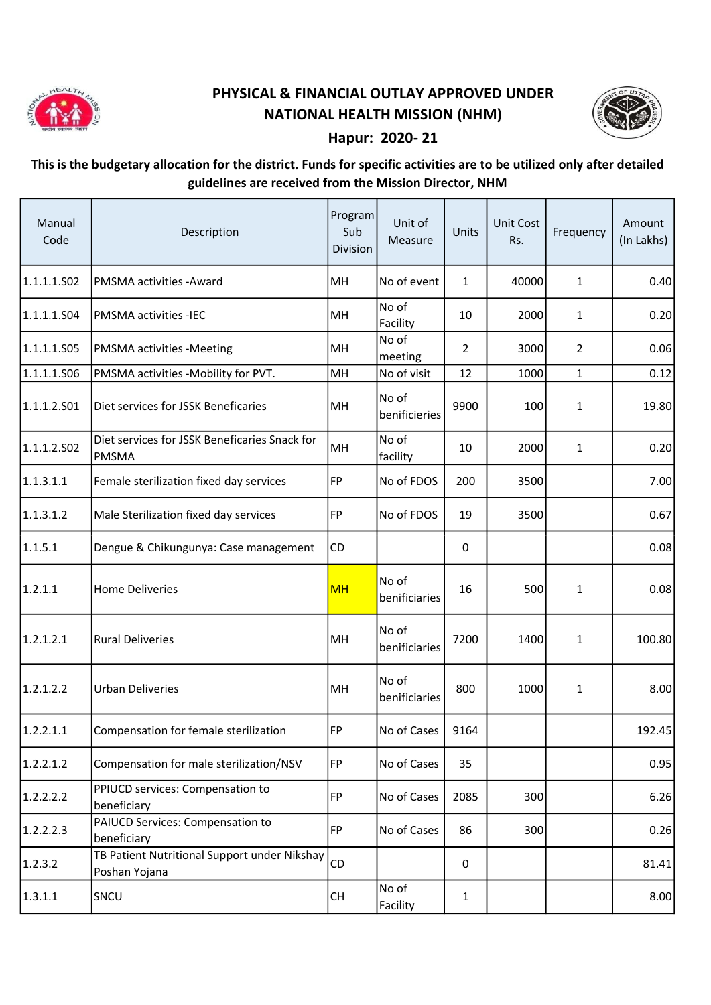

## PHYSICAL & FINANCIAL OUTLAY APPROVED UNDER NATIONAL HEALTH MISSION (NHM)



## Hapur: 2020- 21

## This is the budgetary allocation for the district. Funds for specific activities are to be utilized only after detailed guidelines are received from the Mission Director, NHM

| Manual<br>Code | Description                                                   | Program<br>Sub<br>Division | Unit of<br>Measure     | Units          | Unit Cost<br>Rs. | Frequency      | Amount<br>(In Lakhs) |
|----------------|---------------------------------------------------------------|----------------------------|------------------------|----------------|------------------|----------------|----------------------|
| 1.1.1.1.502    | PMSMA activities - Award                                      | MH                         | No of event            | $\mathbf{1}$   | 40000            | 1              | 0.40                 |
| 1.1.1.1.S04    | <b>PMSMA activities -IEC</b>                                  | MH                         | No of<br>Facility      | 10             | 2000             | $\mathbf{1}$   | 0.20                 |
| 1.1.1.1.505    | <b>PMSMA activities -Meeting</b>                              | MH                         | No of<br>meeting       | $\overline{2}$ | 3000             | $\overline{2}$ | 0.06                 |
| 1.1.1.1.506    | PMSMA activities -Mobility for PVT.                           | MH                         | No of visit            | 12             | 1000             | $\mathbf{1}$   | 0.12                 |
| 1.1.1.2.501    | Diet services for JSSK Beneficaries                           | MH                         | No of<br>benificieries | 9900           | 100              | $\mathbf{1}$   | 19.80                |
| 1.1.1.2.502    | Diet services for JSSK Beneficaries Snack for<br><b>PMSMA</b> | MH                         | No of<br>facility      | 10             | 2000             | $\mathbf{1}$   | 0.20                 |
| 1.1.3.1.1      | Female sterilization fixed day services                       | FP                         | No of FDOS             | 200            | 3500             |                | 7.00                 |
| 1.1.3.1.2      | Male Sterilization fixed day services                         | FP                         | No of FDOS             | 19             | 3500             |                | 0.67                 |
| 1.1.5.1        | Dengue & Chikungunya: Case management                         | CD                         |                        | 0              |                  |                | 0.08                 |
| 1.2.1.1        | <b>Home Deliveries</b>                                        | <b>MH</b>                  | No of<br>benificiaries | 16             | 500              | $\mathbf{1}$   | 0.08                 |
| 1.2.1.2.1      | <b>Rural Deliveries</b>                                       | MH                         | No of<br>benificiaries | 7200           | 1400             | $\mathbf{1}$   | 100.80               |
| 1.2.1.2.2      | <b>Urban Deliveries</b>                                       | MH                         | No of<br>benificiaries | 800            | 1000             | 1              | 8.00                 |
| 1.2.2.1.1      | Compensation for female sterilization                         | FP                         | No of Cases            | 9164           |                  |                | 192.45               |
| 1.2.2.1.2      | Compensation for male sterilization/NSV                       | <b>FP</b>                  | No of Cases            | 35             |                  |                | 0.95                 |
| 1.2.2.2.2      | PPIUCD services: Compensation to<br>beneficiary               | FP                         | No of Cases            | 2085           | 300              |                | 6.26                 |
| 1.2.2.2.3      | PAIUCD Services: Compensation to<br>beneficiary               | <b>FP</b>                  | No of Cases            | 86             | 300              |                | 0.26                 |
| 1.2.3.2        | TB Patient Nutritional Support under Nikshay<br>Poshan Yojana | CD                         |                        | 0              |                  |                | 81.41                |
| 1.3.1.1        | SNCU                                                          | CH                         | No of<br>Facility      | $\mathbf{1}$   |                  |                | 8.00                 |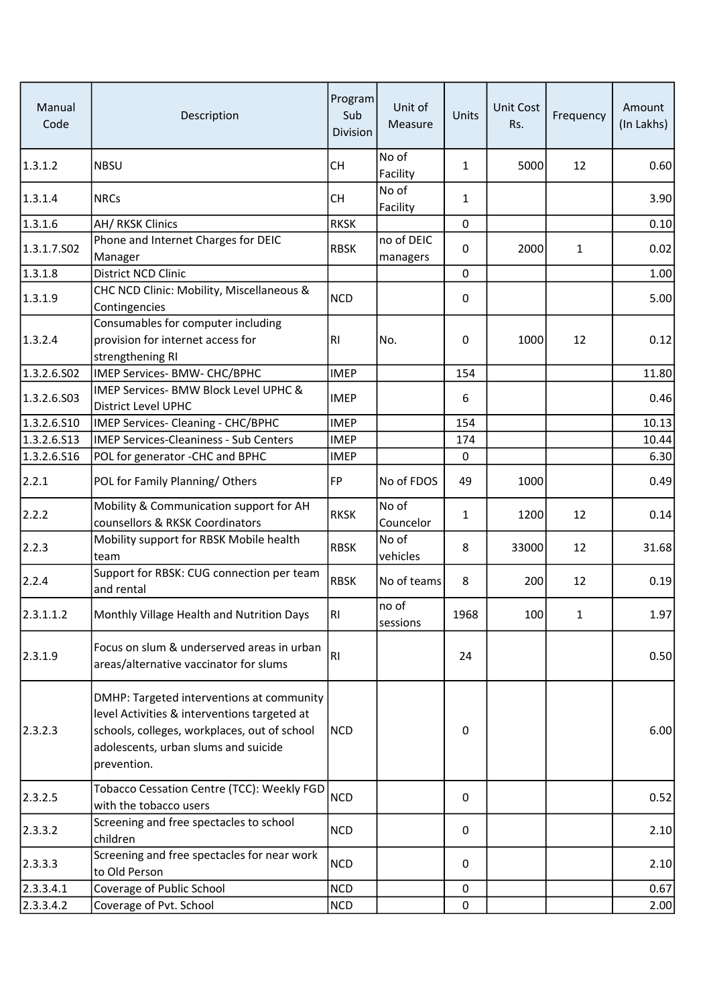| Manual<br>Code | Description                                                                                                                                                                                      | Program<br>Sub<br>Division | Unit of<br>Measure     | Units        | <b>Unit Cost</b><br>Rs. | Frequency    | Amount<br>(In Lakhs) |
|----------------|--------------------------------------------------------------------------------------------------------------------------------------------------------------------------------------------------|----------------------------|------------------------|--------------|-------------------------|--------------|----------------------|
| 1.3.1.2        | <b>NBSU</b>                                                                                                                                                                                      | <b>CH</b>                  | No of<br>Facility      | $\mathbf{1}$ | 5000                    | 12           | 0.60                 |
| 1.3.1.4        | <b>NRCs</b>                                                                                                                                                                                      | <b>CH</b>                  | No of<br>Facility      | 1            |                         |              | 3.90                 |
| 1.3.1.6        | AH/RKSK Clinics                                                                                                                                                                                  | <b>RKSK</b>                |                        | $\mathbf 0$  |                         |              | 0.10                 |
| 1.3.1.7.S02    | Phone and Internet Charges for DEIC<br>Manager                                                                                                                                                   | <b>RBSK</b>                | no of DEIC<br>managers | 0            | 2000                    | $\mathbf{1}$ | 0.02                 |
| 1.3.1.8        | District NCD Clinic                                                                                                                                                                              |                            |                        | $\mathbf 0$  |                         |              | 1.00                 |
| 1.3.1.9        | CHC NCD Clinic: Mobility, Miscellaneous &<br>Contingencies                                                                                                                                       | <b>NCD</b>                 |                        | 0            |                         |              | 5.00                 |
| 1.3.2.4        | Consumables for computer including<br>provision for internet access for<br>strengthening RI                                                                                                      | R <sub>1</sub>             | No.                    | 0            | 1000                    | 12           | 0.12                 |
| 1.3.2.6.S02    | IMEP Services- BMW- CHC/BPHC                                                                                                                                                                     | <b>IMEP</b>                |                        | 154          |                         |              | 11.80                |
| 1.3.2.6.503    | IMEP Services- BMW Block Level UPHC &<br><b>District Level UPHC</b>                                                                                                                              | <b>IMEP</b>                |                        | 6            |                         |              | 0.46                 |
| 1.3.2.6.510    | IMEP Services- Cleaning - CHC/BPHC                                                                                                                                                               | <b>IMEP</b>                |                        | 154          |                         |              | 10.13                |
| 1.3.2.6.513    | <b>IMEP Services-Cleaniness - Sub Centers</b>                                                                                                                                                    | <b>IMEP</b>                |                        | 174          |                         |              | 10.44                |
| 1.3.2.6.516    | POL for generator -CHC and BPHC                                                                                                                                                                  | <b>IMEP</b>                |                        | $\pmb{0}$    |                         |              | 6.30                 |
| 2.2.1          | POL for Family Planning/Others                                                                                                                                                                   | FP                         | No of FDOS             | 49           | 1000                    |              | 0.49                 |
| 2.2.2          | Mobility & Communication support for AH<br>counsellors & RKSK Coordinators                                                                                                                       | <b>RKSK</b>                | No of<br>Councelor     | 1            | 1200                    | 12           | 0.14                 |
| 2.2.3          | Mobility support for RBSK Mobile health<br>team                                                                                                                                                  | <b>RBSK</b>                | No of<br>vehicles      | 8            | 33000                   | 12           | 31.68                |
| 2.2.4          | Support for RBSK: CUG connection per team<br>and rental                                                                                                                                          | <b>RBSK</b>                | No of teams            | 8            | 200                     | 12           | 0.19                 |
| 2.3.1.1.2      | Monthly Village Health and Nutrition Days                                                                                                                                                        | <b>RI</b>                  | no of<br>sessions      | 1968         | 100                     | 1            | 1.97                 |
| 2.3.1.9        | Focus on slum & underserved areas in urban<br>areas/alternative vaccinator for slums                                                                                                             | <b>RI</b>                  |                        | 24           |                         |              | 0.50                 |
| 2.3.2.3        | DMHP: Targeted interventions at community<br>level Activities & interventions targeted at<br>schools, colleges, workplaces, out of school<br>adolescents, urban slums and suicide<br>prevention. | <b>NCD</b>                 |                        | 0            |                         |              | 6.00                 |
| 2.3.2.5        | Tobacco Cessation Centre (TCC): Weekly FGD<br>with the tobacco users                                                                                                                             | <b>NCD</b>                 |                        | 0            |                         |              | 0.52                 |
| 2.3.3.2        | Screening and free spectacles to school<br>children                                                                                                                                              | <b>NCD</b>                 |                        | 0            |                         |              | 2.10                 |
| 2.3.3.3        | Screening and free spectacles for near work<br>to Old Person                                                                                                                                     | <b>NCD</b>                 |                        | 0            |                         |              | 2.10                 |
| 2.3.3.4.1      | Coverage of Public School                                                                                                                                                                        | <b>NCD</b>                 |                        | 0            |                         |              | 0.67                 |
| 2.3.3.4.2      | Coverage of Pvt. School                                                                                                                                                                          | <b>NCD</b>                 |                        | 0            |                         |              | 2.00                 |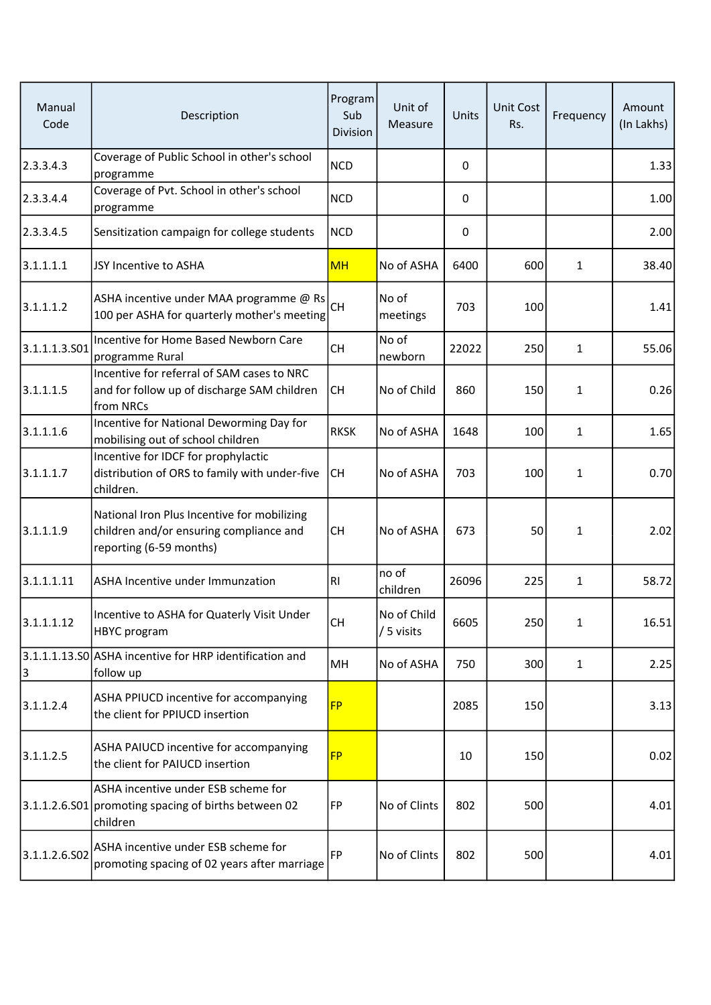| Manual<br>Code | Description                                                                                                       | Program<br>Sub<br><b>Division</b> | Unit of<br>Measure        | Units       | Unit Cost<br>Rs. | Frequency    | Amount<br>(In Lakhs) |
|----------------|-------------------------------------------------------------------------------------------------------------------|-----------------------------------|---------------------------|-------------|------------------|--------------|----------------------|
| 2.3.3.4.3      | Coverage of Public School in other's school<br>programme                                                          | <b>NCD</b>                        |                           | $\mathbf 0$ |                  |              | 1.33                 |
| 2.3.3.4.4      | Coverage of Pvt. School in other's school<br>programme                                                            | <b>NCD</b>                        |                           | 0           |                  |              | 1.00                 |
| 2.3.3.4.5      | Sensitization campaign for college students                                                                       | <b>NCD</b>                        |                           | $\mathbf 0$ |                  |              | 2.00                 |
| 3.1.1.1.1      | JSY Incentive to ASHA                                                                                             | <b>MH</b>                         | No of ASHA                | 6400        | 600              | $\mathbf{1}$ | 38.40                |
| 3.1.1.1.2      | ASHA incentive under MAA programme @ Rs<br>100 per ASHA for quarterly mother's meeting                            | <b>CH</b>                         | No of<br>meetings         | 703         | 100              |              | 1.41                 |
| 3.1.1.1.3.501  | Incentive for Home Based Newborn Care<br>programme Rural                                                          | <b>CH</b>                         | No of<br>newborn          | 22022       | 250              | $\mathbf{1}$ | 55.06                |
| 3.1.1.1.5      | Incentive for referral of SAM cases to NRC<br>and for follow up of discharge SAM children<br>from NRCs            | <b>CH</b>                         | No of Child               | 860         | 150              | $\mathbf{1}$ | 0.26                 |
| 3.1.1.1.6      | Incentive for National Deworming Day for<br>mobilising out of school children                                     | <b>RKSK</b>                       | No of ASHA                | 1648        | 100              | 1            | 1.65                 |
| 3.1.1.1.7      | Incentive for IDCF for prophylactic<br>distribution of ORS to family with under-five<br>children.                 | <b>CH</b>                         | No of ASHA                | 703         | 100              | $\mathbf{1}$ | 0.70                 |
| 3.1.1.1.9      | National Iron Plus Incentive for mobilizing<br>children and/or ensuring compliance and<br>reporting (6-59 months) | <b>CH</b>                         | No of ASHA                | 673         | 50               | $\mathbf{1}$ | 2.02                 |
| 3.1.1.1.11     | ASHA Incentive under Immunzation                                                                                  | <b>RI</b>                         | no of<br>children         | 26096       | 225              | $\mathbf{1}$ | 58.72                |
| 3.1.1.1.12     | Incentive to ASHA for Quaterly Visit Under<br><b>HBYC</b> program                                                 | <b>CH</b>                         | No of Child<br>/ 5 visits | 6605        | 250              | $\mathbf{1}$ | 16.51                |
| 3              | 3.1.1.1.13.S0 ASHA incentive for HRP identification and<br>follow up                                              | MH                                | No of ASHA                | 750         | 300              | $\mathbf{1}$ | 2.25                 |
| 3.1.1.2.4      | ASHA PPIUCD incentive for accompanying<br>the client for PPIUCD insertion                                         | <b>FP</b>                         |                           | 2085        | 150              |              | 3.13                 |
| 3.1.1.2.5      | ASHA PAIUCD incentive for accompanying<br>the client for PAIUCD insertion                                         | <b>FP</b>                         |                           | 10          | 150              |              | 0.02                 |
|                | ASHA incentive under ESB scheme for<br>3.1.1.2.6.S01 promoting spacing of births between 02<br>children           | FP                                | No of Clints              | 802         | 500              |              | 4.01                 |
| 3.1.1.2.6.502  | ASHA incentive under ESB scheme for<br>promoting spacing of 02 years after marriage                               | <b>FP</b>                         | No of Clints              | 802         | 500              |              | 4.01                 |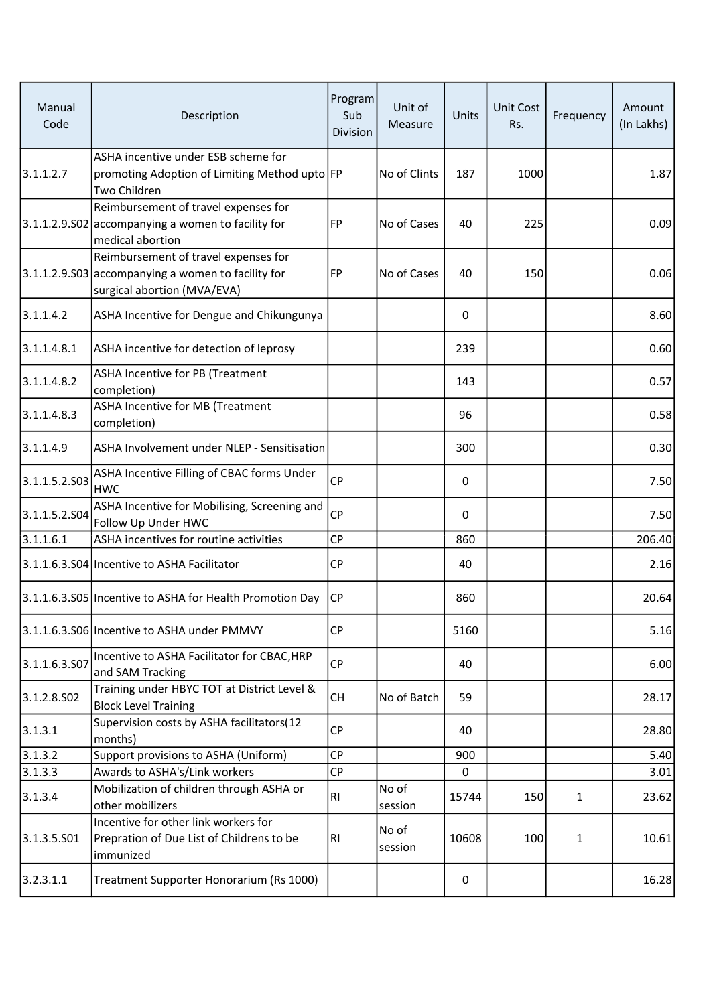| Manual<br>Code | Description                                                                                                               | Program<br>Sub<br><b>Division</b> | Unit of<br>Measure | Units       | <b>Unit Cost</b><br>Rs. | Frequency    | Amount<br>(In Lakhs) |
|----------------|---------------------------------------------------------------------------------------------------------------------------|-----------------------------------|--------------------|-------------|-------------------------|--------------|----------------------|
| 3.1.1.2.7      | ASHA incentive under ESB scheme for<br>promoting Adoption of Limiting Method upto FP<br>Two Children                      |                                   | No of Clints       | 187         | 1000                    |              | 1.87                 |
|                | Reimbursement of travel expenses for<br>3.1.1.2.9.502 accompanying a women to facility for<br>medical abortion            | FP                                | No of Cases        | 40          | 225                     |              | 0.09                 |
|                | Reimbursement of travel expenses for<br>3.1.1.2.9.S03 accompanying a women to facility for<br>surgical abortion (MVA/EVA) | FP                                | No of Cases        | 40          | 150                     |              | 0.06                 |
| 3.1.1.4.2      | ASHA Incentive for Dengue and Chikungunya                                                                                 |                                   |                    | $\Omega$    |                         |              | 8.60                 |
| 3.1.1.4.8.1    | ASHA incentive for detection of leprosy                                                                                   |                                   |                    | 239         |                         |              | 0.60                 |
| 3.1.1.4.8.2    | ASHA Incentive for PB (Treatment<br>completion)                                                                           |                                   |                    | 143         |                         |              | 0.57                 |
| 3.1.1.4.8.3    | ASHA Incentive for MB (Treatment<br>completion)                                                                           |                                   |                    | 96          |                         |              | 0.58                 |
| 3.1.1.4.9      | ASHA Involvement under NLEP - Sensitisation                                                                               |                                   |                    | 300         |                         |              | 0.30                 |
| 3.1.1.5.2.503  | ASHA Incentive Filling of CBAC forms Under<br><b>HWC</b>                                                                  | <b>CP</b>                         |                    | 0           |                         |              | 7.50                 |
| 3.1.1.5.2.504  | ASHA Incentive for Mobilising, Screening and<br>Follow Up Under HWC                                                       | <b>CP</b>                         |                    | 0           |                         |              | 7.50                 |
| 3.1.1.6.1      | ASHA incentives for routine activities                                                                                    | <b>CP</b>                         |                    | 860         |                         |              | 206.40               |
|                | 3.1.1.6.3.S04 Incentive to ASHA Facilitator                                                                               | <b>CP</b>                         |                    | 40          |                         |              | 2.16                 |
|                | 3.1.1.6.3.S05 Incentive to ASHA for Health Promotion Day                                                                  | <b>CP</b>                         |                    | 860         |                         |              | 20.64                |
|                | 3.1.1.6.3.S06 Incentive to ASHA under PMMVY                                                                               | CP                                |                    | 5160        |                         |              | 5.16                 |
| 3.1.1.6.3.507  | Incentive to ASHA Facilitator for CBAC, HRP<br>and SAM Tracking                                                           | CP                                |                    | 40          |                         |              | 6.00                 |
| 3.1.2.8.SO2    | Training under HBYC TOT at District Level &<br><b>Block Level Training</b>                                                | <b>CH</b>                         | No of Batch        | 59          |                         |              | 28.17                |
| 3.1.3.1        | Supervision costs by ASHA facilitators(12<br>months)                                                                      | <b>CP</b>                         |                    | 40          |                         |              | 28.80                |
| 3.1.3.2        | Support provisions to ASHA (Uniform)                                                                                      | <b>CP</b>                         |                    | 900         |                         |              | 5.40                 |
| 3.1.3.3        | Awards to ASHA's/Link workers                                                                                             | <b>CP</b>                         |                    | $\mathbf 0$ |                         |              | 3.01                 |
| 3.1.3.4        | Mobilization of children through ASHA or<br>other mobilizers                                                              | R1                                | No of<br>session   | 15744       | 150                     | $\mathbf{1}$ | 23.62                |
| 3.1.3.5.501    | Incentive for other link workers for<br>Prepration of Due List of Childrens to be<br>immunized                            | RI                                | No of<br>session   | 10608       | 100                     | $\mathbf{1}$ | 10.61                |
| 3.2.3.1.1      | Treatment Supporter Honorarium (Rs 1000)                                                                                  |                                   |                    | 0           |                         |              | 16.28                |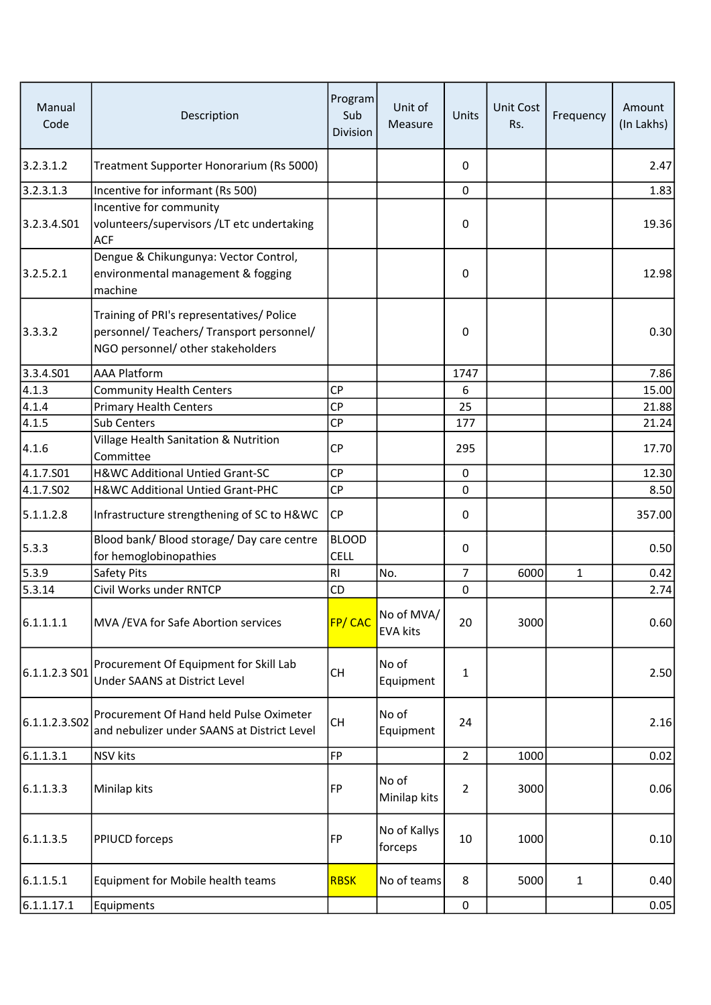| Manual<br>Code | Description                                                                                                                 | Program<br>Sub<br>Division  | Unit of<br>Measure            | Units          | <b>Unit Cost</b><br>Rs. | Frequency    | Amount<br>(In Lakhs) |
|----------------|-----------------------------------------------------------------------------------------------------------------------------|-----------------------------|-------------------------------|----------------|-------------------------|--------------|----------------------|
| 3.2.3.1.2      | Treatment Supporter Honorarium (Rs 5000)                                                                                    |                             |                               | 0              |                         |              | 2.47                 |
| 3.2.3.1.3      | Incentive for informant (Rs 500)                                                                                            |                             |                               | 0              |                         |              | 1.83                 |
| 3.2.3.4.S01    | Incentive for community<br>volunteers/supervisors /LT etc undertaking<br><b>ACF</b>                                         |                             |                               | 0              |                         |              | 19.36                |
| 3.2.5.2.1      | Dengue & Chikungunya: Vector Control,<br>environmental management & fogging<br>machine                                      |                             |                               | 0              |                         |              | 12.98                |
| 3.3.3.2        | Training of PRI's representatives/ Police<br>personnel/ Teachers/ Transport personnel/<br>NGO personnel/ other stakeholders |                             |                               | 0              |                         |              | 0.30                 |
| 3.3.4.S01      | <b>AAA Platform</b>                                                                                                         |                             |                               | 1747           |                         |              | 7.86                 |
| 4.1.3          | <b>Community Health Centers</b>                                                                                             | <b>CP</b>                   |                               | 6              |                         |              | 15.00                |
| 4.1.4          | <b>Primary Health Centers</b>                                                                                               | <b>CP</b>                   |                               | 25             |                         |              | 21.88                |
| 4.1.5          | Sub Centers                                                                                                                 | <b>CP</b>                   |                               | 177            |                         |              | 21.24                |
| 4.1.6          | Village Health Sanitation & Nutrition<br>Committee                                                                          | <b>CP</b>                   |                               | 295            |                         |              | 17.70                |
| 4.1.7.S01      | H&WC Additional Untied Grant-SC                                                                                             | <b>CP</b>                   |                               | $\mathbf 0$    |                         |              | 12.30                |
| 4.1.7.S02      | H&WC Additional Untied Grant-PHC                                                                                            | <b>CP</b>                   |                               | 0              |                         |              | 8.50                 |
| 5.1.1.2.8      | Infrastructure strengthening of SC to H&WC                                                                                  | <b>CP</b>                   |                               | 0              |                         |              | 357.00               |
| 5.3.3          | Blood bank/ Blood storage/ Day care centre<br>for hemoglobinopathies                                                        | <b>BLOOD</b><br><b>CELL</b> |                               | 0              |                         |              | 0.50                 |
| 5.3.9          | Safety Pits                                                                                                                 | R <sub>l</sub>              | No.                           | $\overline{7}$ | 6000                    | $\mathbf{1}$ | 0.42                 |
| 5.3.14         | Civil Works under RNTCP                                                                                                     | CD                          |                               | 0              |                         |              | 2.74                 |
| 6.1.1.1.1      | MVA / EVA for Safe Abortion services                                                                                        | FP/CAC                      | No of MVA/<br><b>EVA kits</b> | 20             | 3000                    |              | 0.60                 |
| 6.1.1.2.3 S01  | Procurement Of Equipment for Skill Lab<br>Under SAANS at District Level                                                     | <b>CH</b>                   | No of<br>Equipment            | 1              |                         |              | 2.50                 |
| 6.1.1.2.3.502  | Procurement Of Hand held Pulse Oximeter<br>and nebulizer under SAANS at District Level                                      | <b>CH</b>                   | No of<br>Equipment            | 24             |                         |              | 2.16                 |
| 6.1.1.3.1      | <b>NSV</b> kits                                                                                                             | <b>FP</b>                   |                               | $\overline{2}$ | 1000                    |              | 0.02                 |
| 6.1.1.3.3      | Minilap kits                                                                                                                | FP                          | No of<br>Minilap kits         | $\overline{2}$ | 3000                    |              | 0.06                 |
| 6.1.1.3.5      | <b>PPIUCD forceps</b>                                                                                                       | <b>FP</b>                   | No of Kallys<br>forceps       | 10             | 1000                    |              | 0.10                 |
| 6.1.1.5.1      | Equipment for Mobile health teams                                                                                           | <b>RBSK</b>                 | No of teams                   | 8              | 5000                    | 1            | 0.40                 |
| 6.1.1.17.1     | Equipments                                                                                                                  |                             |                               | 0              |                         |              | 0.05                 |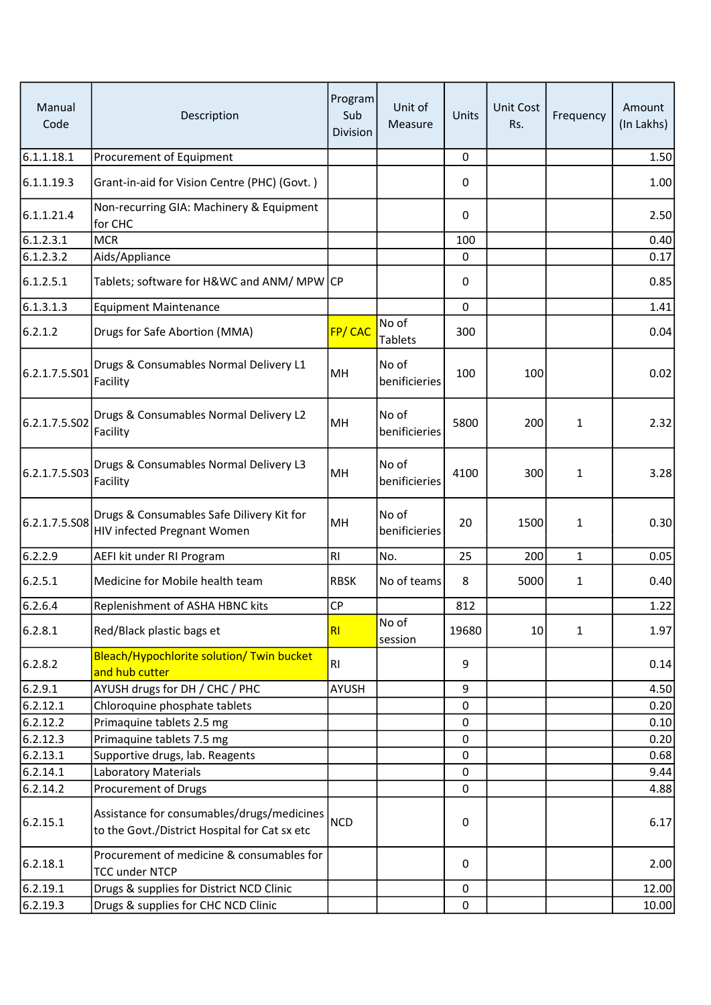| Manual<br>Code | Description                                                                                 | Program<br>Sub<br>Division | Unit of<br>Measure      | Units       | <b>Unit Cost</b><br>Rs. | Frequency    | Amount<br>(In Lakhs) |
|----------------|---------------------------------------------------------------------------------------------|----------------------------|-------------------------|-------------|-------------------------|--------------|----------------------|
| 6.1.1.18.1     | Procurement of Equipment                                                                    |                            |                         | $\mathbf 0$ |                         |              | 1.50                 |
| 6.1.1.19.3     | Grant-in-aid for Vision Centre (PHC) (Govt.)                                                |                            |                         | 0           |                         |              | 1.00                 |
| 6.1.1.21.4     | Non-recurring GIA: Machinery & Equipment<br>for CHC                                         |                            |                         | $\mathbf 0$ |                         |              | 2.50                 |
| 6.1.2.3.1      | <b>MCR</b>                                                                                  |                            |                         | 100         |                         |              | 0.40                 |
| 6.1.2.3.2      | Aids/Appliance                                                                              |                            |                         | 0           |                         |              | 0.17                 |
| 6.1.2.5.1      | Tablets; software for H&WC and ANM/ MPW CP                                                  |                            |                         | 0           |                         |              | 0.85                 |
| 6.1.3.1.3      | <b>Equipment Maintenance</b>                                                                |                            |                         | $\mathbf 0$ |                         |              | 1.41                 |
| 6.2.1.2        | Drugs for Safe Abortion (MMA)                                                               | FP/ CAC                    | No of<br><b>Tablets</b> | 300         |                         |              | 0.04                 |
| 6.2.1.7.5.S01  | Drugs & Consumables Normal Delivery L1<br>Facility                                          | MH                         | No of<br>benificieries  | 100         | 100                     |              | 0.02                 |
| 6.2.1.7.5.S02  | Drugs & Consumables Normal Delivery L2<br>Facility                                          | MH                         | No of<br>benificieries  | 5800        | 200                     | 1            | 2.32                 |
| 6.2.1.7.5.503  | Drugs & Consumables Normal Delivery L3<br>Facility                                          | MH                         | No of<br>benificieries  | 4100        | 300                     | 1            | 3.28                 |
| 6.2.1.7.5.S08  | Drugs & Consumables Safe Dilivery Kit for<br><b>HIV infected Pregnant Women</b>             | MH                         | No of<br>benificieries  | 20          | 1500                    | 1            | 0.30                 |
| 6.2.2.9        | AEFI kit under RI Program                                                                   | RI                         | No.                     | 25          | 200                     | $\mathbf{1}$ | 0.05                 |
| 6.2.5.1        | Medicine for Mobile health team                                                             | <b>RBSK</b>                | No of teams             | 8           | 5000                    | 1            | 0.40                 |
| 6.2.6.4        | Replenishment of ASHA HBNC kits                                                             | <b>CP</b>                  |                         | 812         |                         |              | 1.22                 |
| 6.2.8.1        | Red/Black plastic bags et                                                                   | RI                         | No of<br>session        | 19680       | 10                      | $\mathbf{1}$ | 1.97                 |
| 6.2.8.2        | Bleach/Hypochlorite solution/ Twin bucket<br>and hub cutter                                 | <b>RI</b>                  |                         | 9           |                         |              | 0.14                 |
| 6.2.9.1        | AYUSH drugs for DH / CHC / PHC                                                              | AYUSH                      |                         | 9           |                         |              | 4.50                 |
| 6.2.12.1       | Chloroquine phosphate tablets                                                               |                            |                         | 0           |                         |              | 0.20                 |
| 6.2.12.2       | Primaquine tablets 2.5 mg                                                                   |                            |                         | $\mathbf 0$ |                         |              | 0.10                 |
| 6.2.12.3       | Primaquine tablets 7.5 mg                                                                   |                            |                         | 0           |                         |              | 0.20                 |
| 6.2.13.1       | Supportive drugs, lab. Reagents                                                             |                            |                         | 0           |                         |              | 0.68                 |
| 6.2.14.1       | <b>Laboratory Materials</b>                                                                 |                            |                         | 0           |                         |              | 9.44                 |
| 6.2.14.2       | Procurement of Drugs                                                                        |                            |                         | 0           |                         |              | 4.88                 |
| 6.2.15.1       | Assistance for consumables/drugs/medicines<br>to the Govt./District Hospital for Cat sx etc | <b>NCD</b>                 |                         | 0           |                         |              | 6.17                 |
| 6.2.18.1       | Procurement of medicine & consumables for<br><b>TCC under NTCP</b>                          |                            |                         | 0           |                         |              | 2.00                 |
| 6.2.19.1       | Drugs & supplies for District NCD Clinic                                                    |                            |                         | 0           |                         |              | 12.00                |
| 6.2.19.3       | Drugs & supplies for CHC NCD Clinic                                                         |                            |                         | $\mathsf 0$ |                         |              | 10.00                |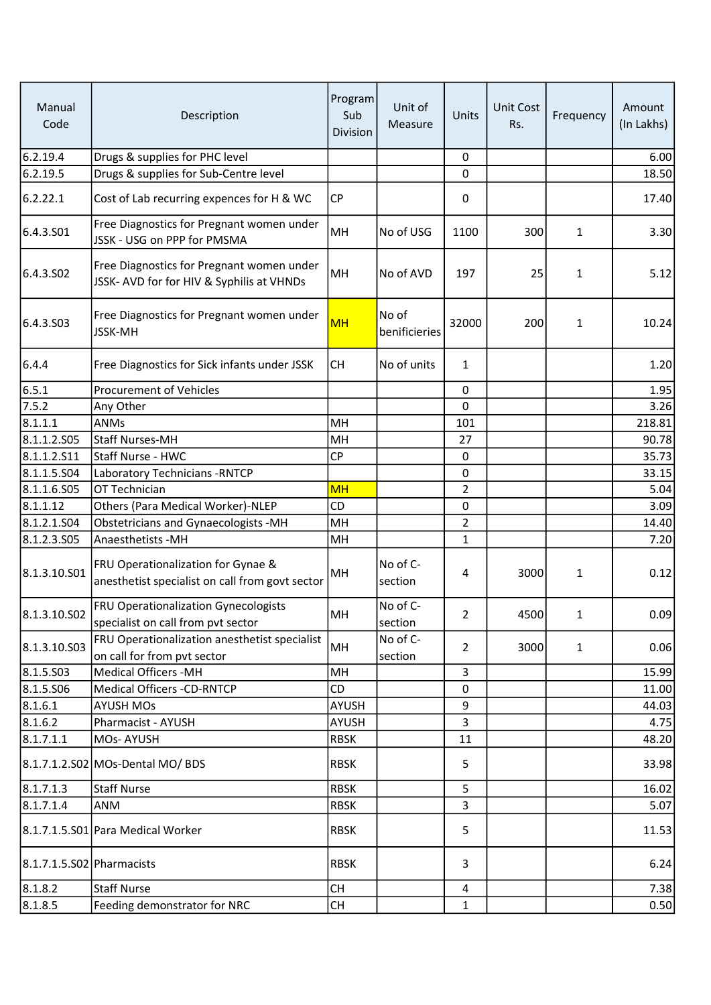| Manual<br>Code            | Description                                                                            | Program<br>Sub<br>Division | Unit of<br>Measure     | Units          | <b>Unit Cost</b><br>Rs. | Frequency    | Amount<br>(In Lakhs) |
|---------------------------|----------------------------------------------------------------------------------------|----------------------------|------------------------|----------------|-------------------------|--------------|----------------------|
| 6.2.19.4                  | Drugs & supplies for PHC level                                                         |                            |                        | 0              |                         |              | 6.00                 |
| 6.2.19.5                  | Drugs & supplies for Sub-Centre level                                                  |                            |                        | $\Omega$       |                         |              | 18.50                |
| 6.2.22.1                  | Cost of Lab recurring expences for H & WC                                              | <b>CP</b>                  |                        | 0              |                         |              | 17.40                |
| 6.4.3.S01                 | Free Diagnostics for Pregnant women under<br>JSSK - USG on PPP for PMSMA               | MH                         | No of USG              | 1100           | 300                     | $\mathbf{1}$ | 3.30                 |
| 6.4.3.SO <sub>2</sub>     | Free Diagnostics for Pregnant women under<br>JSSK- AVD for for HIV & Syphilis at VHNDs | MH                         | No of AVD              | 197            | 25                      | 1            | 5.12                 |
| 6.4.3.S03                 | Free Diagnostics for Pregnant women under<br>JSSK-MH                                   | <b>MH</b>                  | No of<br>benificieries | 32000          | 200                     | $\mathbf{1}$ | 10.24                |
| 6.4.4                     | Free Diagnostics for Sick infants under JSSK                                           | <b>CH</b>                  | No of units            | $\mathbf{1}$   |                         |              | 1.20                 |
| 6.5.1                     | <b>Procurement of Vehicles</b>                                                         |                            |                        | 0              |                         |              | 1.95                 |
| 7.5.2                     | Any Other                                                                              |                            |                        | $\mathbf 0$    |                         |              | 3.26                 |
| 8.1.1.1                   | ANMs                                                                                   | MH                         |                        | 101            |                         |              | 218.81               |
| 8.1.1.2.S05               | <b>Staff Nurses-MH</b>                                                                 | MH                         |                        | 27             |                         |              | 90.78                |
| 8.1.1.2.511               | Staff Nurse - HWC                                                                      | <b>CP</b>                  |                        | $\pmb{0}$      |                         |              | 35.73                |
| 8.1.1.5.504               | Laboratory Technicians - RNTCP                                                         |                            |                        | 0              |                         |              | 33.15                |
| 8.1.1.6.505               | OT Technician                                                                          | <b>MH</b>                  |                        | $\overline{2}$ |                         |              | 5.04                 |
| 8.1.1.12                  | Others (Para Medical Worker)-NLEP                                                      | CD                         |                        | 0              |                         |              | 3.09                 |
| 8.1.2.1.504               | Obstetricians and Gynaecologists -MH                                                   | MH                         |                        | $\overline{2}$ |                         |              | 14.40                |
| 8.1.2.3.505               | Anaesthetists - MH                                                                     | MH                         |                        | $\mathbf{1}$   |                         |              | 7.20                 |
| 8.1.3.10.501              | FRU Operationalization for Gynae &<br>anesthetist specialist on call from govt sector  | MН                         | No of C-<br>section    | 4              | 3000                    | $\mathbf{1}$ | 0.12                 |
| 8.1.3.10.S02              | <b>FRU Operationalization Gynecologists</b><br>specialist on call from pvt sector      | MH                         | No of C-<br>section    | 2              | 4500                    | 1            | 0.09                 |
| 8.1.3.10.S03              | FRU Operationalization anesthetist specialist<br>on call for from pvt sector           | MH                         | No of C-<br>section    | $\overline{2}$ | 3000                    | $\mathbf{1}$ | 0.06                 |
| 8.1.5.503                 | <b>Medical Officers -MH</b>                                                            | MH                         |                        | $\overline{3}$ |                         |              | 15.99                |
| 8.1.5.506                 | <b>Medical Officers -CD-RNTCP</b>                                                      | CD                         |                        | 0              |                         |              | 11.00                |
| 8.1.6.1                   | <b>AYUSH MOs</b>                                                                       | <b>AYUSH</b>               |                        | 9              |                         |              | 44.03                |
| 8.1.6.2                   | Pharmacist - AYUSH                                                                     | <b>AYUSH</b>               |                        | $\overline{3}$ |                         |              | 4.75                 |
| 8.1.7.1.1                 | MOs-AYUSH                                                                              | <b>RBSK</b>                |                        | 11             |                         |              | 48.20                |
|                           | 8.1.7.1.2.S02 MOs-Dental MO/ BDS                                                       | <b>RBSK</b>                |                        | 5              |                         |              | 33.98                |
| 8.1.7.1.3                 | <b>Staff Nurse</b>                                                                     | <b>RBSK</b>                |                        | 5              |                         |              | 16.02                |
| 8.1.7.1.4                 | ANM                                                                                    | <b>RBSK</b>                |                        | 3              |                         |              | 5.07                 |
|                           | 8.1.7.1.5.S01 Para Medical Worker                                                      | <b>RBSK</b>                |                        | 5              |                         |              | 11.53                |
| 8.1.7.1.5.S02 Pharmacists |                                                                                        | <b>RBSK</b>                |                        | 3              |                         |              | 6.24                 |
| 8.1.8.2                   | <b>Staff Nurse</b>                                                                     | <b>CH</b>                  |                        | 4              |                         |              | 7.38                 |
| 8.1.8.5                   | Feeding demonstrator for NRC                                                           | <b>CH</b>                  |                        | $\mathbf{1}$   |                         |              | 0.50                 |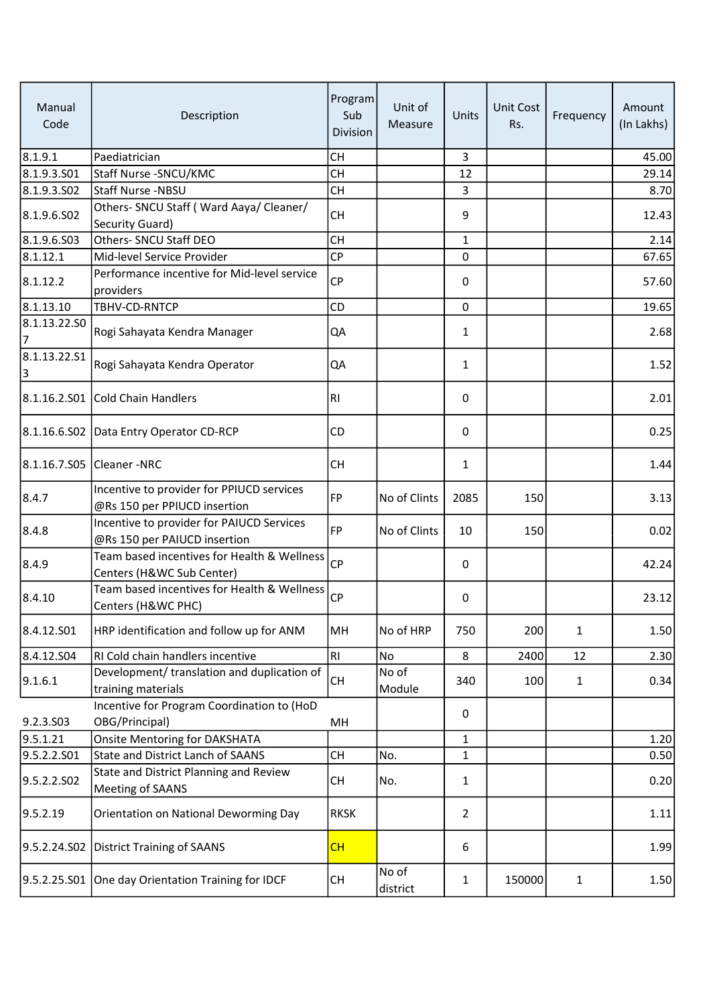| Manual<br>Code    | Description                                                               | Program<br>Sub<br>Division | Unit of<br>Measure | Units          | <b>Unit Cost</b><br>Rs. | Frequency    | Amount<br>(In Lakhs) |
|-------------------|---------------------------------------------------------------------------|----------------------------|--------------------|----------------|-------------------------|--------------|----------------------|
| 8.1.9.1           | Paediatrician                                                             | <b>CH</b>                  |                    | $\overline{3}$ |                         |              | 45.00                |
| 8.1.9.3.S01       | Staff Nurse - SNCU/KMC                                                    | <b>CH</b>                  |                    | 12             |                         |              | 29.14                |
| 8.1.9.3.502       | <b>Staff Nurse -NBSU</b>                                                  | CH                         |                    | 3              |                         |              | 8.70                 |
| 8.1.9.6.502       | Others- SNCU Staff (Ward Aaya/ Cleaner/<br>Security Guard)                | <b>CH</b>                  |                    | 9              |                         |              | 12.43                |
| 8.1.9.6.503       | Others- SNCU Staff DEO                                                    | <b>CH</b>                  |                    | 1              |                         |              | 2.14                 |
| 8.1.12.1          | Mid-level Service Provider                                                | <b>CP</b>                  |                    | 0              |                         |              | 67.65                |
| 8.1.12.2          | Performance incentive for Mid-level service<br>providers                  | <b>CP</b>                  |                    | 0              |                         |              | 57.60                |
| 8.1.13.10         | TBHV-CD-RNTCP                                                             | CD                         |                    | 0              |                         |              | 19.65                |
| 8.1.13.22.SO<br>7 | Rogi Sahayata Kendra Manager                                              | QA                         |                    | 1              |                         |              | 2.68                 |
| 8.1.13.22.51<br>3 | Rogi Sahayata Kendra Operator                                             | QA                         |                    | 1              |                         |              | 1.52                 |
|                   | 8.1.16.2.S01 Cold Chain Handlers                                          | <b>RI</b>                  |                    | 0              |                         |              | 2.01                 |
|                   | 8.1.16.6.S02   Data Entry Operator CD-RCP                                 | CD.                        |                    | 0              |                         |              | 0.25                 |
|                   | 8.1.16.7.S05 Cleaner - NRC                                                | <b>CH</b>                  |                    | 1              |                         |              | 1.44                 |
| 8.4.7             | Incentive to provider for PPIUCD services<br>@Rs 150 per PPIUCD insertion | <b>FP</b>                  | No of Clints       | 2085           | 150                     |              | 3.13                 |
| 8.4.8             | Incentive to provider for PAIUCD Services<br>@Rs 150 per PAIUCD insertion | <b>FP</b>                  | No of Clints       | 10             | 150                     |              | 0.02                 |
| 8.4.9             | Team based incentives for Health & Wellness<br>Centers (H&WC Sub Center)  | CP                         |                    | 0              |                         |              | 42.24                |
| 8.4.10            | Team based incentives for Health & Wellness<br>Centers (H&WC PHC)         | <b>CP</b>                  |                    | 0              |                         |              | 23.12                |
| 8.4.12.S01        | HRP identification and follow up for ANM                                  | MH                         | No of HRP          | 750            | 200                     | $\mathbf{1}$ | 1.50                 |
| 8.4.12.S04        | RI Cold chain handlers incentive                                          | RI                         | No                 | 8              | 2400                    | 12           | 2.30                 |
| 9.1.6.1           | Development/ translation and duplication of<br>training materials         | CH                         | No of<br>Module    | 340            | 100                     | $\mathbf{1}$ | 0.34                 |
| 9.2.3.S03         | Incentive for Program Coordination to (HoD<br>OBG/Principal)              | MH                         |                    | 0              |                         |              |                      |
| 9.5.1.21          | <b>Onsite Mentoring for DAKSHATA</b>                                      |                            |                    | $\mathbf{1}$   |                         |              | 1.20                 |
| 9.5.2.2.501       | State and District Lanch of SAANS                                         | CH                         | No.                | 1              |                         |              | 0.50                 |
| 9.5.2.2.502       | State and District Planning and Review<br>Meeting of SAANS                | <b>CH</b>                  | No.                | 1              |                         |              | 0.20                 |
| 9.5.2.19          | Orientation on National Deworming Day                                     | <b>RKSK</b>                |                    | $\overline{2}$ |                         |              | 1.11                 |
|                   | 9.5.2.24.S02 District Training of SAANS                                   | CH                         |                    | 6              |                         |              | 1.99                 |
|                   | 9.5.2.25.S01 One day Orientation Training for IDCF                        | CH                         | No of<br>district  | 1              | 150000                  | $\mathbf{1}$ | 1.50                 |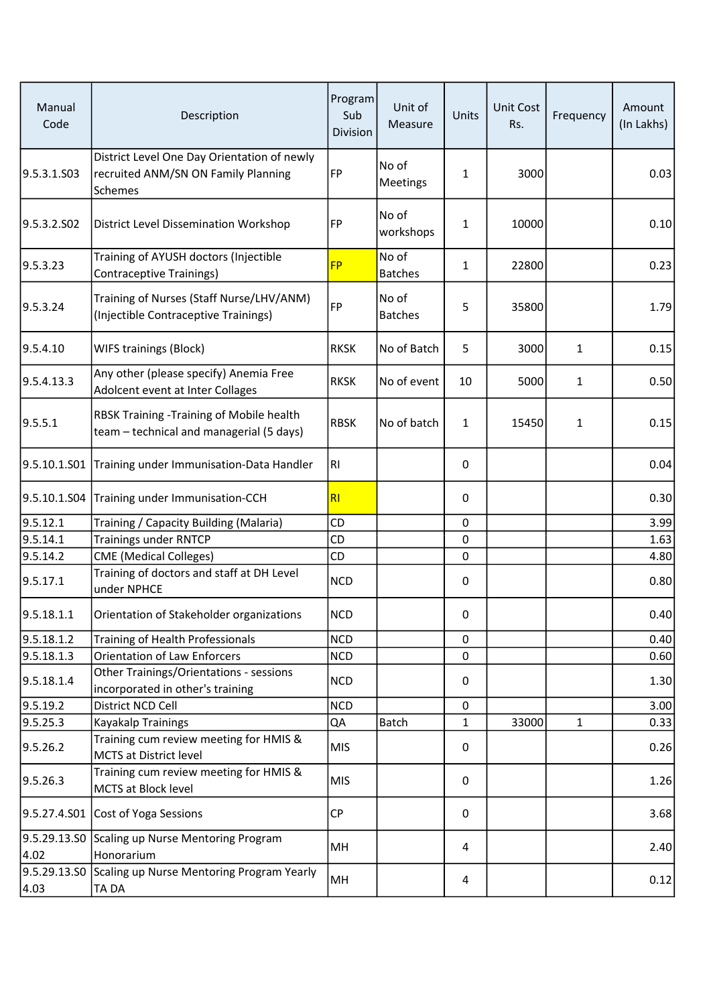| Manual<br>Code | Description                                                                                   | Program<br>Sub<br>Division | Unit of<br>Measure      | Units        | <b>Unit Cost</b><br>Rs. | Frequency    | Amount<br>(In Lakhs) |
|----------------|-----------------------------------------------------------------------------------------------|----------------------------|-------------------------|--------------|-------------------------|--------------|----------------------|
| 9.5.3.1.S03    | District Level One Day Orientation of newly<br>recruited ANM/SN ON Family Planning<br>Schemes | FP                         | No of<br>Meetings       | $\mathbf{1}$ | 3000                    |              | 0.03                 |
| 9.5.3.2.SO2    | <b>District Level Dissemination Workshop</b>                                                  | FP                         | No of<br>workshops      | $\mathbf{1}$ | 10000                   |              | 0.10                 |
| 9.5.3.23       | Training of AYUSH doctors (Injectible<br>Contraceptive Trainings)                             | <b>FP</b>                  | No of<br><b>Batches</b> | $\mathbf{1}$ | 22800                   |              | 0.23                 |
| 9.5.3.24       | Training of Nurses (Staff Nurse/LHV/ANM)<br>(Injectible Contraceptive Trainings)              | FP                         | No of<br><b>Batches</b> | 5            | 35800                   |              | 1.79                 |
| 9.5.4.10       | <b>WIFS trainings (Block)</b>                                                                 | <b>RKSK</b>                | No of Batch             | 5            | 3000                    | $\mathbf{1}$ | 0.15                 |
| 9.5.4.13.3     | Any other (please specify) Anemia Free<br>Adolcent event at Inter Collages                    | <b>RKSK</b>                | No of event             | 10           | 5000                    | $\mathbf{1}$ | 0.50                 |
| 9.5.5.1        | RBSK Training - Training of Mobile health<br>team - technical and managerial (5 days)         | <b>RBSK</b>                | No of batch             | $\mathbf{1}$ | 15450                   | $\mathbf{1}$ | 0.15                 |
|                | 9.5.10.1.S01 Training under Immunisation-Data Handler                                         | R1                         |                         | 0            |                         |              | 0.04                 |
|                | 9.5.10.1.S04 Training under Immunisation-CCH                                                  | RI                         |                         | 0            |                         |              | 0.30                 |
| 9.5.12.1       | Training / Capacity Building (Malaria)                                                        | CD                         |                         | $\mathbf 0$  |                         |              | 3.99                 |
| 9.5.14.1       | <b>Trainings under RNTCP</b>                                                                  | CD                         |                         | $\pmb{0}$    |                         |              | 1.63                 |
| 9.5.14.2       | <b>CME</b> (Medical Colleges)                                                                 | CD                         |                         | 0            |                         |              | 4.80                 |
| 9.5.17.1       | Training of doctors and staff at DH Level<br>under NPHCE                                      | <b>NCD</b>                 |                         | 0            |                         |              | 0.80                 |
| 9.5.18.1.1     | Orientation of Stakeholder organizations                                                      | <b>NCD</b>                 |                         | 0            |                         |              | 0.40                 |
| 9.5.18.1.2     | Training of Health Professionals                                                              | <b>NCD</b>                 |                         | $\mathbf 0$  |                         |              | 0.40                 |
| 9.5.18.1.3     | <b>Orientation of Law Enforcers</b>                                                           | <b>NCD</b>                 |                         | 0            |                         |              | 0.60                 |
| 9.5.18.1.4     | Other Trainings/Orientations - sessions<br>incorporated in other's training                   | <b>NCD</b>                 |                         | 0            |                         |              | 1.30                 |
| 9.5.19.2       | District NCD Cell                                                                             | <b>NCD</b>                 |                         | 0            |                         |              | 3.00                 |
| 9.5.25.3       | Kayakalp Trainings                                                                            | QA                         | <b>Batch</b>            | $\mathbf{1}$ | 33000                   | $\mathbf{1}$ | 0.33                 |
| 9.5.26.2       | Training cum review meeting for HMIS &<br>MCTS at District level                              | <b>MIS</b>                 |                         | 0            |                         |              | 0.26                 |
| 9.5.26.3       | Training cum review meeting for HMIS &<br>MCTS at Block level                                 | <b>MIS</b>                 |                         | 0            |                         |              | 1.26                 |
|                | 9.5.27.4.S01 Cost of Yoga Sessions                                                            | <b>CP</b>                  |                         | 0            |                         |              | 3.68                 |
| 4.02           | 9.5.29.13.SO Scaling up Nurse Mentoring Program<br>Honorarium                                 | MH                         |                         | 4            |                         |              | 2.40                 |
| 4.03           | 9.5.29.13.SO Scaling up Nurse Mentoring Program Yearly<br>TA DA                               | MH                         |                         | 4            |                         |              | 0.12                 |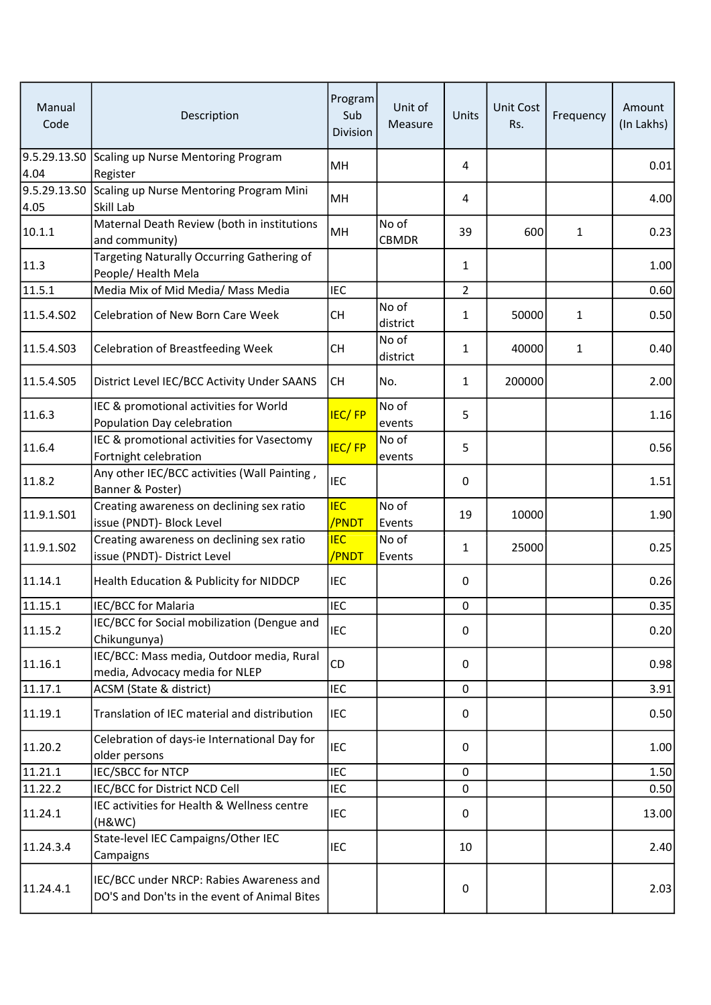| Manual<br>Code       | Description                                                                              | Program<br>Sub<br>Division | Unit of<br>Measure    | Units          | <b>Unit Cost</b><br>Rs. | Frequency    | Amount<br>(In Lakhs) |
|----------------------|------------------------------------------------------------------------------------------|----------------------------|-----------------------|----------------|-------------------------|--------------|----------------------|
| 4.04                 | 9.5.29.13.SO Scaling up Nurse Mentoring Program<br>Register                              | MН                         |                       | 4              |                         |              | 0.01                 |
| 9.5.29.13.SO<br>4.05 | Scaling up Nurse Mentoring Program Mini<br>Skill Lab                                     | MH                         |                       | 4              |                         |              | 4.00                 |
| 10.1.1               | Maternal Death Review (both in institutions<br>and community)                            | MH                         | No of<br><b>CBMDR</b> | 39             | 600                     | $\mathbf{1}$ | 0.23                 |
| 11.3                 | Targeting Naturally Occurring Gathering of<br>People/Health Mela                         |                            |                       | 1              |                         |              | 1.00                 |
| 11.5.1               | Media Mix of Mid Media/ Mass Media                                                       | <b>IEC</b>                 |                       | $\overline{2}$ |                         |              | 0.60                 |
| 11.5.4.S02           | Celebration of New Born Care Week                                                        | <b>CH</b>                  | No of<br>district     | 1              | 50000                   | $\mathbf{1}$ | 0.50                 |
| 11.5.4.S03           | <b>Celebration of Breastfeeding Week</b>                                                 | <b>CH</b>                  | No of<br>district     | 1              | 40000                   | $\mathbf{1}$ | 0.40                 |
| 11.5.4.S05           | District Level IEC/BCC Activity Under SAANS                                              | <b>CH</b>                  | No.                   | $\mathbf{1}$   | 200000                  |              | 2.00                 |
| 11.6.3               | IEC & promotional activities for World<br>Population Day celebration                     | <b>IEC/FP</b>              | No of<br>events       | 5              |                         |              | 1.16                 |
| 11.6.4               | IEC & promotional activities for Vasectomy<br>Fortnight celebration                      | <b>IEC/FP</b>              | No of<br>events       | 5              |                         |              | 0.56                 |
| 11.8.2               | Any other IEC/BCC activities (Wall Painting,<br>Banner & Poster)                         | <b>IEC</b>                 |                       | 0              |                         |              | 1.51                 |
| 11.9.1.S01           | Creating awareness on declining sex ratio<br>issue (PNDT)- Block Level                   | <b>IEC</b><br>/PNDT        | No of<br>Events       | 19             | 10000                   |              | 1.90                 |
| 11.9.1.S02           | Creating awareness on declining sex ratio<br>issue (PNDT)- District Level                | <b>IEC</b><br>/PNDT        | No of<br>Events       | $\mathbf{1}$   | 25000                   |              | 0.25                 |
| 11.14.1              | Health Education & Publicity for NIDDCP                                                  | <b>IEC</b>                 |                       | 0              |                         |              | 0.26                 |
| 11.15.1              | IEC/BCC for Malaria                                                                      | <b>IEC</b>                 |                       | $\pmb{0}$      |                         |              | 0.35                 |
| 11.15.2              | IEC/BCC for Social mobilization (Dengue and<br>Chikungunya)                              | <b>IEC</b>                 |                       | 0              |                         |              | 0.20                 |
| 11.16.1              | IEC/BCC: Mass media, Outdoor media, Rural<br>media, Advocacy media for NLEP              | <b>CD</b>                  |                       | 0              |                         |              | 0.98                 |
| 11.17.1              | ACSM (State & district)                                                                  | <b>IEC</b>                 |                       | $\mathbf 0$    |                         |              | 3.91                 |
| 11.19.1              | Translation of IEC material and distribution                                             | <b>IEC</b>                 |                       | 0              |                         |              | 0.50                 |
| 11.20.2              | Celebration of days-ie International Day for<br>older persons                            | <b>IEC</b>                 |                       | 0              |                         |              | 1.00                 |
| 11.21.1              | <b>IEC/SBCC for NTCP</b>                                                                 | <b>IEC</b>                 |                       | 0              |                         |              | 1.50                 |
| 11.22.2              | IEC/BCC for District NCD Cell                                                            | <b>IEC</b>                 |                       | 0              |                         |              | 0.50                 |
| 11.24.1              | IEC activities for Health & Wellness centre<br>(H&WC)                                    | <b>IEC</b>                 |                       | 0              |                         |              | 13.00                |
| 11.24.3.4            | State-level IEC Campaigns/Other IEC<br>Campaigns                                         | <b>IEC</b>                 |                       | 10             |                         |              | 2.40                 |
| 11.24.4.1            | IEC/BCC under NRCP: Rabies Awareness and<br>DO'S and Don'ts in the event of Animal Bites |                            |                       | $\pmb{0}$      |                         |              | 2.03                 |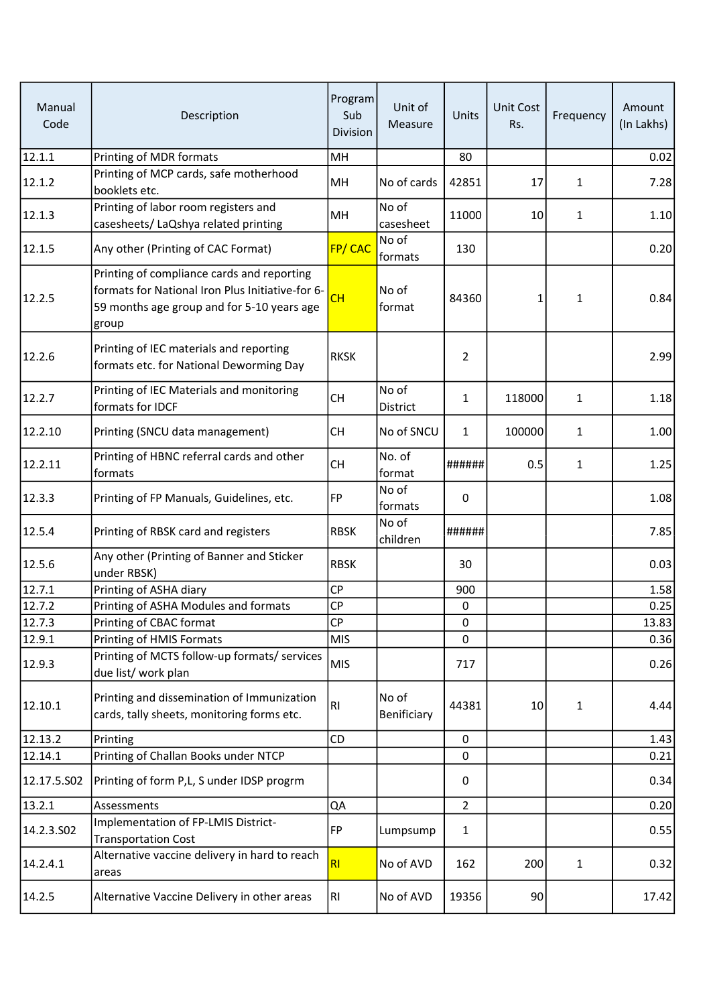| Manual<br>Code | Description                                                                                                                                           | Program<br>Sub<br>Division | Unit of<br>Measure   | Units          | <b>Unit Cost</b><br>Rs. | Frequency    | Amount<br>(In Lakhs) |
|----------------|-------------------------------------------------------------------------------------------------------------------------------------------------------|----------------------------|----------------------|----------------|-------------------------|--------------|----------------------|
| 12.1.1         | Printing of MDR formats                                                                                                                               | MH                         |                      | 80             |                         |              | 0.02                 |
| 12.1.2         | Printing of MCP cards, safe motherhood<br>booklets etc.                                                                                               | MH                         | No of cards          | 42851          | 17                      | $\mathbf{1}$ | 7.28                 |
| 12.1.3         | Printing of labor room registers and<br>casesheets/ LaQshya related printing                                                                          | MH                         | No of<br>casesheet   | 11000          | 10                      | $\mathbf{1}$ | 1.10                 |
| 12.1.5         | Any other (Printing of CAC Format)                                                                                                                    | FP/CAC                     | No of<br>formats     | 130            |                         |              | 0.20                 |
| 12.2.5         | Printing of compliance cards and reporting<br>formats for National Iron Plus Initiative-for 6-<br>59 months age group and for 5-10 years age<br>group | CH                         | No of<br>format      | 84360          | 1                       | $\mathbf{1}$ | 0.84                 |
| 12.2.6         | Printing of IEC materials and reporting<br>formats etc. for National Deworming Day                                                                    | <b>RKSK</b>                |                      | $\overline{2}$ |                         |              | 2.99                 |
| 12.2.7         | Printing of IEC Materials and monitoring<br>formats for IDCF                                                                                          | <b>CH</b>                  | No of<br>District    | $\mathbf{1}$   | 118000                  | $\mathbf{1}$ | 1.18                 |
| 12.2.10        | Printing (SNCU data management)                                                                                                                       | <b>CH</b>                  | No of SNCU           | $\mathbf{1}$   | 100000                  | $\mathbf{1}$ | 1.00                 |
| 12.2.11        | Printing of HBNC referral cards and other<br>formats                                                                                                  | <b>CH</b>                  | No. of<br>format     | ######         | 0.5                     | $\mathbf{1}$ | 1.25                 |
| 12.3.3         | Printing of FP Manuals, Guidelines, etc.                                                                                                              | FP                         | No of<br>formats     | 0              |                         |              | 1.08                 |
| 12.5.4         | Printing of RBSK card and registers                                                                                                                   | <b>RBSK</b>                | No of<br>children    | ######         |                         |              | 7.85                 |
| 12.5.6         | Any other (Printing of Banner and Sticker<br>under RBSK)                                                                                              | <b>RBSK</b>                |                      | 30             |                         |              | 0.03                 |
| 12.7.1         | Printing of ASHA diary                                                                                                                                | <b>CP</b>                  |                      | 900            |                         |              | 1.58                 |
| 12.7.2         | Printing of ASHA Modules and formats                                                                                                                  | СP                         |                      | $\mathbf 0$    |                         |              | 0.25                 |
| 12.7.3         | Printing of CBAC format                                                                                                                               | CP                         |                      | 0              |                         |              | 13.83                |
| 12.9.1         | Printing of HMIS Formats                                                                                                                              | <b>MIS</b>                 |                      | 0              |                         |              | 0.36                 |
| 12.9.3         | Printing of MCTS follow-up formats/ services<br>due list/ work plan                                                                                   | <b>MIS</b>                 |                      | 717            |                         |              | 0.26                 |
| 12.10.1        | Printing and dissemination of Immunization<br>cards, tally sheets, monitoring forms etc.                                                              | RI                         | No of<br>Benificiary | 44381          | 10                      | $\mathbf{1}$ | 4.44                 |
| 12.13.2        | Printing                                                                                                                                              | CD                         |                      | $\mathbf 0$    |                         |              | 1.43                 |
| 12.14.1        | Printing of Challan Books under NTCP                                                                                                                  |                            |                      | 0              |                         |              | 0.21                 |
| 12.17.5.S02    | Printing of form P,L, S under IDSP progrm                                                                                                             |                            |                      | 0              |                         |              | 0.34                 |
| 13.2.1         | Assessments                                                                                                                                           | QA                         |                      | $\overline{2}$ |                         |              | 0.20                 |
| 14.2.3.502     | Implementation of FP-LMIS District-<br><b>Transportation Cost</b>                                                                                     | FP                         | Lumpsump             | $\mathbf{1}$   |                         |              | 0.55                 |
| 14.2.4.1       | Alternative vaccine delivery in hard to reach<br>areas                                                                                                | RI                         | No of AVD            | 162            | 200                     | $\mathbf{1}$ | 0.32                 |
| 14.2.5         | Alternative Vaccine Delivery in other areas                                                                                                           | RI                         | No of AVD            | 19356          | 90                      |              | 17.42                |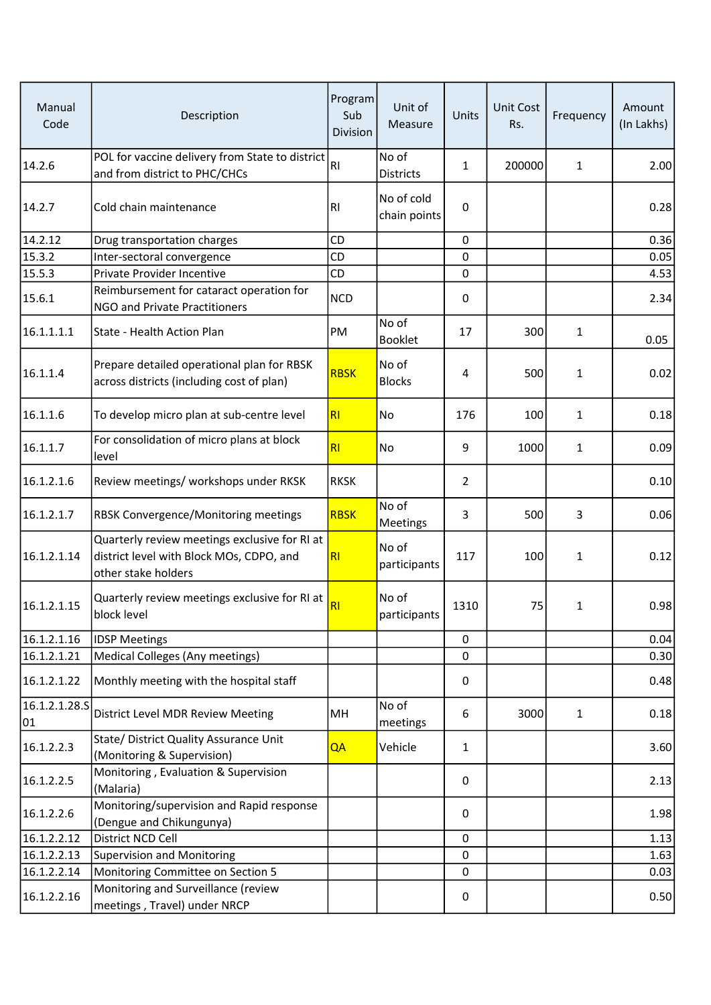| Manual<br>Code      | Description                                                                                                      | Program<br>Sub<br>Division | Unit of<br>Measure         | Units          | <b>Unit Cost</b><br>Rs. | Frequency    | Amount<br>(In Lakhs) |
|---------------------|------------------------------------------------------------------------------------------------------------------|----------------------------|----------------------------|----------------|-------------------------|--------------|----------------------|
| 14.2.6              | POL for vaccine delivery from State to district<br>and from district to PHC/CHCs                                 | RI                         | No of<br><b>Districts</b>  | $\mathbf{1}$   | 200000                  | $\mathbf{1}$ | 2.00                 |
| 14.2.7              | Cold chain maintenance                                                                                           | <b>RI</b>                  | No of cold<br>chain points | 0              |                         |              | 0.28                 |
| 14.2.12             | Drug transportation charges                                                                                      | CD                         |                            | 0              |                         |              | 0.36                 |
| 15.3.2              | Inter-sectoral convergence                                                                                       | CD                         |                            | 0              |                         |              | 0.05                 |
| 15.5.3              | Private Provider Incentive                                                                                       | CD                         |                            | 0              |                         |              | 4.53                 |
| 15.6.1              | Reimbursement for cataract operation for<br>NGO and Private Practitioners                                        | <b>NCD</b>                 |                            | 0              |                         |              | 2.34                 |
| 16.1.1.1.1          | State - Health Action Plan                                                                                       | PM                         | No of<br><b>Booklet</b>    | 17             | 300                     | $\mathbf{1}$ | 0.05                 |
| 16.1.1.4            | Prepare detailed operational plan for RBSK<br>across districts (including cost of plan)                          | <b>RBSK</b>                | No of<br><b>Blocks</b>     | 4              | 500                     | 1            | 0.02                 |
| 16.1.1.6            | To develop micro plan at sub-centre level                                                                        | R <sub>l</sub>             | No                         | 176            | 100                     | 1            | 0.18                 |
| 16.1.1.7            | For consolidation of micro plans at block<br>level                                                               | RI                         | No                         | 9              | 1000                    | $\mathbf{1}$ | 0.09                 |
| 16.1.2.1.6          | Review meetings/ workshops under RKSK                                                                            | <b>RKSK</b>                |                            | $\overline{2}$ |                         |              | 0.10                 |
| 16.1.2.1.7          | <b>RBSK Convergence/Monitoring meetings</b>                                                                      | <b>RBSK</b>                | No of<br>Meetings          | 3              | 500                     | 3            | 0.06                 |
| 16.1.2.1.14         | Quarterly review meetings exclusive for RI at<br>district level with Block MOs, CDPO, and<br>other stake holders | R <sub>l</sub>             | No of<br>participants      | 117            | 100                     | $\mathbf{1}$ | 0.12                 |
| 16.1.2.1.15         | Quarterly review meetings exclusive for RI at<br>block level                                                     | R <sub>l</sub>             | No of<br>participants      | 1310           | 75                      | 1            | 0.98                 |
| 16.1.2.1.16         | <b>IDSP Meetings</b>                                                                                             |                            |                            | 0              |                         |              | 0.04                 |
| 16.1.2.1.21         | Medical Colleges (Any meetings)                                                                                  |                            |                            | 0              |                         |              | 0.30                 |
| 16.1.2.1.22         | Monthly meeting with the hospital staff                                                                          |                            |                            | 0              |                         |              | 0.48                 |
| 16.1.2.1.28.5<br>01 | District Level MDR Review Meeting                                                                                | MH                         | No of<br>meetings          | 6              | 3000                    | $\mathbf{1}$ | 0.18                 |
| 16.1.2.2.3          | State/ District Quality Assurance Unit<br>(Monitoring & Supervision)                                             | QA                         | Vehicle                    | 1              |                         |              | 3.60                 |
| 16.1.2.2.5          | Monitoring, Evaluation & Supervision<br>(Malaria)                                                                |                            |                            | 0              |                         |              | 2.13                 |
| 16.1.2.2.6          | Monitoring/supervision and Rapid response<br>(Dengue and Chikungunya)                                            |                            |                            | 0              |                         |              | 1.98                 |
| 16.1.2.2.12         | District NCD Cell                                                                                                |                            |                            | 0              |                         |              | 1.13                 |
| 16.1.2.2.13         | Supervision and Monitoring                                                                                       |                            |                            | 0              |                         |              | 1.63                 |
| 16.1.2.2.14         | Monitoring Committee on Section 5                                                                                |                            |                            | 0              |                         |              | 0.03                 |
| 16.1.2.2.16         | Monitoring and Surveillance (review<br>meetings, Travel) under NRCP                                              |                            |                            | 0              |                         |              | 0.50                 |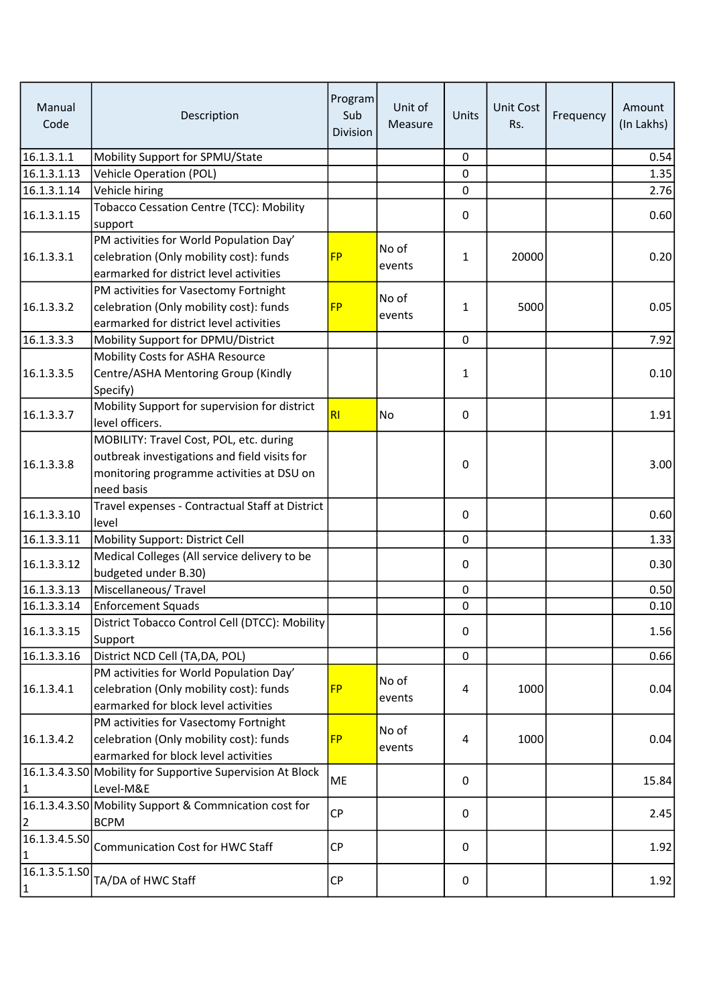| Manual<br>Code                | Description                                                                                                                                        | Program<br>Sub<br>Division | Unit of<br>Measure | Units        | Unit Cost<br>Rs. | Frequency | Amount<br>(In Lakhs) |
|-------------------------------|----------------------------------------------------------------------------------------------------------------------------------------------------|----------------------------|--------------------|--------------|------------------|-----------|----------------------|
| 16.1.3.1.1                    | Mobility Support for SPMU/State                                                                                                                    |                            |                    | $\mathbf 0$  |                  |           | 0.54                 |
| 16.1.3.1.13                   | <b>Vehicle Operation (POL)</b>                                                                                                                     |                            |                    | $\mathbf 0$  |                  |           | 1.35                 |
| 16.1.3.1.14                   | Vehicle hiring                                                                                                                                     |                            |                    | 0            |                  |           | 2.76                 |
| 16.1.3.1.15                   | <b>Tobacco Cessation Centre (TCC): Mobility</b><br>support                                                                                         |                            |                    | $\mathbf 0$  |                  |           | 0.60                 |
| 16.1.3.3.1                    | PM activities for World Population Day'<br>celebration (Only mobility cost): funds<br>earmarked for district level activities                      | <b>FP</b>                  | No of<br>events    | 1            | 20000            |           | 0.20                 |
| 16.1.3.3.2                    | PM activities for Vasectomy Fortnight<br>celebration (Only mobility cost): funds<br>earmarked for district level activities                        | <b>FP</b>                  | No of<br>events    | 1            | 5000             |           | 0.05                 |
| 16.1.3.3.3                    | Mobility Support for DPMU/District                                                                                                                 |                            |                    | $\mathbf 0$  |                  |           | 7.92                 |
| 16.1.3.3.5                    | Mobility Costs for ASHA Resource<br>Centre/ASHA Mentoring Group (Kindly<br>Specify)                                                                |                            |                    | 1            |                  |           | 0.10                 |
| 16.1.3.3.7                    | Mobility Support for supervision for district<br>level officers.                                                                                   | RI                         | No                 | 0            |                  |           | 1.91                 |
| 16.1.3.3.8                    | MOBILITY: Travel Cost, POL, etc. during<br>outbreak investigations and field visits for<br>monitoring programme activities at DSU on<br>need basis |                            |                    | 0            |                  |           | 3.00                 |
| 16.1.3.3.10                   | Travel expenses - Contractual Staff at District<br>level                                                                                           |                            |                    | 0            |                  |           | 0.60                 |
| 16.1.3.3.11                   | Mobility Support: District Cell                                                                                                                    |                            |                    | 0            |                  |           | 1.33                 |
| 16.1.3.3.12                   | Medical Colleges (All service delivery to be<br>budgeted under B.30)                                                                               |                            |                    | 0            |                  |           | 0.30                 |
| 16.1.3.3.13                   | Miscellaneous/Travel                                                                                                                               |                            |                    | $\mathsf 0$  |                  |           | 0.50                 |
| 16.1.3.3.14                   | <b>Enforcement Squads</b>                                                                                                                          |                            |                    | 0            |                  |           | 0.10                 |
| 16.1.3.3.15                   | District Tobacco Control Cell (DTCC): Mobility<br>Support                                                                                          |                            |                    | 0            |                  |           | 1.56                 |
| 16.1.3.3.16                   | District NCD Cell (TA, DA, POL)                                                                                                                    |                            |                    | 0            |                  |           | 0.66                 |
| 16.1.3.4.1                    | PM activities for World Population Day'<br>celebration (Only mobility cost): funds<br>earmarked for block level activities                         | <b>FP</b>                  | No of<br>events    | 4            | 1000             |           | 0.04                 |
| 16.1.3.4.2                    | PM activities for Vasectomy Fortnight<br>celebration (Only mobility cost): funds<br>earmarked for block level activities                           | <b>FP</b>                  | No of<br>events    | 4            | 1000             |           | 0.04                 |
| $\mathbf{1}$                  | 16.1.3.4.3.50 Mobility for Supportive Supervision At Block<br>Level-M&E                                                                            | ME                         |                    | $\mathbf{0}$ |                  |           | 15.84                |
| $\overline{2}$                | 16.1.3.4.3.50 Mobility Support & Commnication cost for<br><b>BCPM</b>                                                                              | <b>CP</b>                  |                    | 0            |                  |           | 2.45                 |
| 16.1.3.4.5.50<br>1            | <b>Communication Cost for HWC Staff</b>                                                                                                            | <b>CP</b>                  |                    | 0            |                  |           | 1.92                 |
| 16.1.3.5.1.50<br>$\mathbf{1}$ | TA/DA of HWC Staff                                                                                                                                 | СP                         |                    | 0            |                  |           | 1.92                 |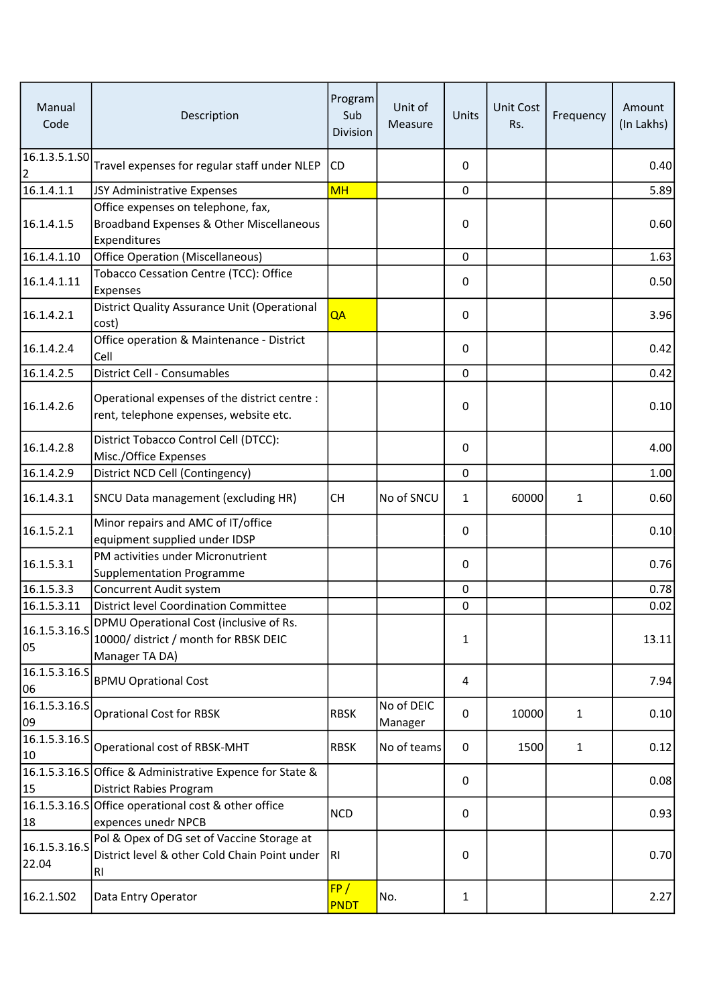| Manual<br>Code                  | Description                                                                                        | Program<br>Sub<br>Division | Unit of<br>Measure    | Units        | Unit Cost<br>Rs. | Frequency    | Amount<br>(In Lakhs) |
|---------------------------------|----------------------------------------------------------------------------------------------------|----------------------------|-----------------------|--------------|------------------|--------------|----------------------|
| 16.1.3.5.1.SO<br>$\overline{2}$ | Travel expenses for regular staff under NLEP                                                       | CD                         |                       | $\Omega$     |                  |              | 0.40                 |
| 16.1.4.1.1                      | JSY Administrative Expenses                                                                        | <b>MH</b>                  |                       | 0            |                  |              | 5.89                 |
| 16.1.4.1.5                      | Office expenses on telephone, fax,<br>Broadband Expenses & Other Miscellaneous<br>Expenditures     |                            |                       | 0            |                  |              | 0.60                 |
| 16.1.4.1.10                     | Office Operation (Miscellaneous)                                                                   |                            |                       | $\mathbf 0$  |                  |              | 1.63                 |
| 16.1.4.1.11                     | Tobacco Cessation Centre (TCC): Office<br>Expenses                                                 |                            |                       | 0            |                  |              | 0.50                 |
| 16.1.4.2.1                      | District Quality Assurance Unit (Operational<br>cost)                                              | QA                         |                       | 0            |                  |              | 3.96                 |
| 16.1.4.2.4                      | Office operation & Maintenance - District<br>Cell                                                  |                            |                       | 0            |                  |              | 0.42                 |
| 16.1.4.2.5                      | District Cell - Consumables                                                                        |                            |                       | 0            |                  |              | 0.42                 |
| 16.1.4.2.6                      | Operational expenses of the district centre :<br>rent, telephone expenses, website etc.            |                            |                       | 0            |                  |              | 0.10                 |
| 16.1.4.2.8                      | District Tobacco Control Cell (DTCC):<br>Misc./Office Expenses                                     |                            |                       | 0            |                  |              | 4.00                 |
| 16.1.4.2.9                      | District NCD Cell (Contingency)                                                                    |                            |                       | $\Omega$     |                  |              | 1.00                 |
| 16.1.4.3.1                      | SNCU Data management (excluding HR)                                                                | <b>CH</b>                  | No of SNCU            | $\mathbf{1}$ | 60000            | 1            | 0.60                 |
| 16.1.5.2.1                      | Minor repairs and AMC of IT/office<br>equipment supplied under IDSP                                |                            |                       | 0            |                  |              | 0.10                 |
| 16.1.5.3.1                      | PM activities under Micronutrient<br><b>Supplementation Programme</b>                              |                            |                       | 0            |                  |              | 0.76                 |
| 16.1.5.3.3                      | Concurrent Audit system                                                                            |                            |                       | 0            |                  |              | 0.78                 |
| 16.1.5.3.11                     | <b>District level Coordination Committee</b>                                                       |                            |                       | 0            |                  |              | 0.02                 |
| 16.1.5.3.16.5<br>05             | DPMU Operational Cost (inclusive of Rs.<br>10000/ district / month for RBSK DEIC<br>Manager TA DA) |                            |                       | 1            |                  |              | 13.11                |
| 16.1.5.3.16.5<br>06             | <b>BPMU Oprational Cost</b>                                                                        |                            |                       | 4            |                  |              | 7.94                 |
| 16.1.5.3.16.5<br>09             | <b>Oprational Cost for RBSK</b>                                                                    | <b>RBSK</b>                | No of DEIC<br>Manager | 0            | 10000            | 1            | 0.10                 |
| 16.1.5.3.16.5<br>10             | Operational cost of RBSK-MHT                                                                       | <b>RBSK</b>                | No of teams           | 0            | 1500             | $\mathbf{1}$ | 0.12                 |
| 15                              | 16.1.5.3.16.S Office & Administrative Expence for State &<br><b>District Rabies Program</b>        |                            |                       | 0            |                  |              | 0.08                 |
| 18                              | 16.1.5.3.16.S Office operational cost & other office<br>expences unedr NPCB                        | <b>NCD</b>                 |                       | 0            |                  |              | 0.93                 |
| 16.1.5.3.16.S<br>22.04          | Pol & Opex of DG set of Vaccine Storage at<br>District level & other Cold Chain Point under<br>RI  | IRI.                       |                       | 0            |                  |              | 0.70                 |
| 16.2.1.S02                      | Data Entry Operator                                                                                | FP/<br><b>PNDT</b>         | No.                   | 1            |                  |              | 2.27                 |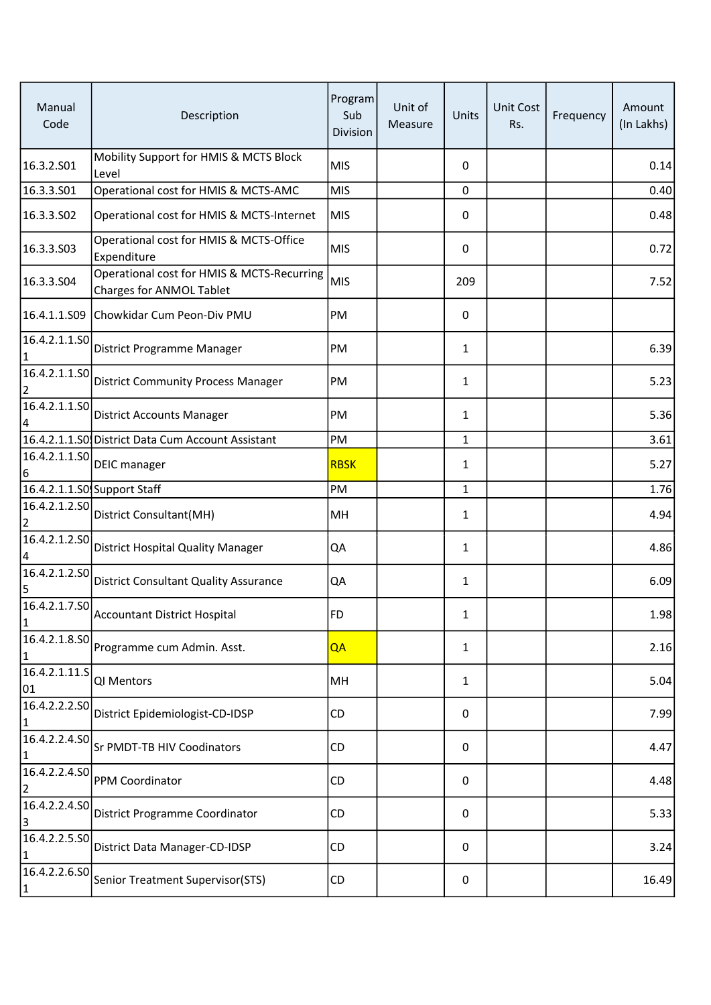| Manual<br>Code                | Description                                                            | Program<br>Sub<br>Division | Unit of<br>Measure | Units        | Unit Cost<br>Rs. | Frequency | Amount<br>(In Lakhs) |
|-------------------------------|------------------------------------------------------------------------|----------------------------|--------------------|--------------|------------------|-----------|----------------------|
| 16.3.2.S01                    | Mobility Support for HMIS & MCTS Block<br>Level                        | <b>MIS</b>                 |                    | 0            |                  |           | 0.14                 |
| 16.3.3.S01                    | Operational cost for HMIS & MCTS-AMC                                   | <b>MIS</b>                 |                    | 0            |                  |           | 0.40                 |
| 16.3.3.S02                    | Operational cost for HMIS & MCTS-Internet                              | MIS                        |                    | 0            |                  |           | 0.48                 |
| 16.3.3.S03                    | Operational cost for HMIS & MCTS-Office<br>Expenditure                 | <b>MIS</b>                 |                    | 0            |                  |           | 0.72                 |
| 16.3.3.S04                    | Operational cost for HMIS & MCTS-Recurring<br>Charges for ANMOL Tablet | <b>MIS</b>                 |                    | 209          |                  |           | 7.52                 |
|                               | 16.4.1.1.S09 Chowkidar Cum Peon-Div PMU                                | PM                         |                    | 0            |                  |           |                      |
| 16.4.2.1.1.SO<br>1            | District Programme Manager                                             | PM                         |                    | $\mathbf{1}$ |                  |           | 6.39                 |
| 16.4.2.1.1.50<br>2            | <b>District Community Process Manager</b>                              | PM                         |                    | 1            |                  |           | 5.23                 |
| 16.4.2.1.1.SO<br>4            | District Accounts Manager                                              | PM                         |                    | 1            |                  |           | 5.36                 |
|                               | 16.4.2.1.1.SO District Data Cum Account Assistant                      | PM                         |                    | 1            |                  |           | 3.61                 |
| 16.4.2.1.1.50<br>6            | DEIC manager                                                           | <b>RBSK</b>                |                    | $\mathbf{1}$ |                  |           | $5.27$               |
|                               | 16.4.2.1.1.SO Support Staff                                            | PM                         |                    | 1            |                  |           | 1.76                 |
| 16.4.2.1.2.50<br>2            | District Consultant(MH)                                                | MH                         |                    | 1            |                  |           | 4.94                 |
| 16.4.2.1.2.50<br>4            | <b>District Hospital Quality Manager</b>                               | QA                         |                    | $\mathbf{1}$ |                  |           | 4.86                 |
| 16.4.2.1.2.50<br>5            | <b>District Consultant Quality Assurance</b>                           | QA                         |                    | 1            |                  |           | 6.09                 |
| $\mathbf{1}$                  | $\left  \overline{16.4.2.1.7.50} \right $ Accountant District Hospital | <b>FD</b>                  |                    | 1            |                  |           | 1.98                 |
| 16.4.2.1.8.SO<br>1            | Programme cum Admin. Asst.                                             | QA                         |                    | $\mathbf{1}$ |                  |           | 2.16                 |
| 16.4.2.1.11.5<br>01           | QI Mentors                                                             | MH                         |                    | 1            |                  |           | 5.04                 |
| 16.4.2.2.2.SO<br>$\mathbf{1}$ | District Epidemiologist-CD-IDSP                                        | CD                         |                    | 0            |                  |           | 7.99                 |
| 16.4.2.2.4.50<br>$\mathbf{1}$ | Sr PMDT-TB HIV Coodinators                                             | CD                         |                    | 0            |                  |           | 4.47                 |
| 16.4.2.2.4.SO<br>2            | PPM Coordinator                                                        | CD                         |                    | 0            |                  |           | 4.48                 |
| 16.4.2.2.4.SO<br>3            | District Programme Coordinator                                         | CD                         |                    | 0            |                  |           | 5.33                 |
| 16.4.2.2.5.50<br>1            | District Data Manager-CD-IDSP                                          | CD                         |                    | 0            |                  |           | 3.24                 |
| 16.4.2.2.6.50<br>$\mathbf{1}$ | Senior Treatment Supervisor(STS)                                       | CD                         |                    | 0            |                  |           | 16.49                |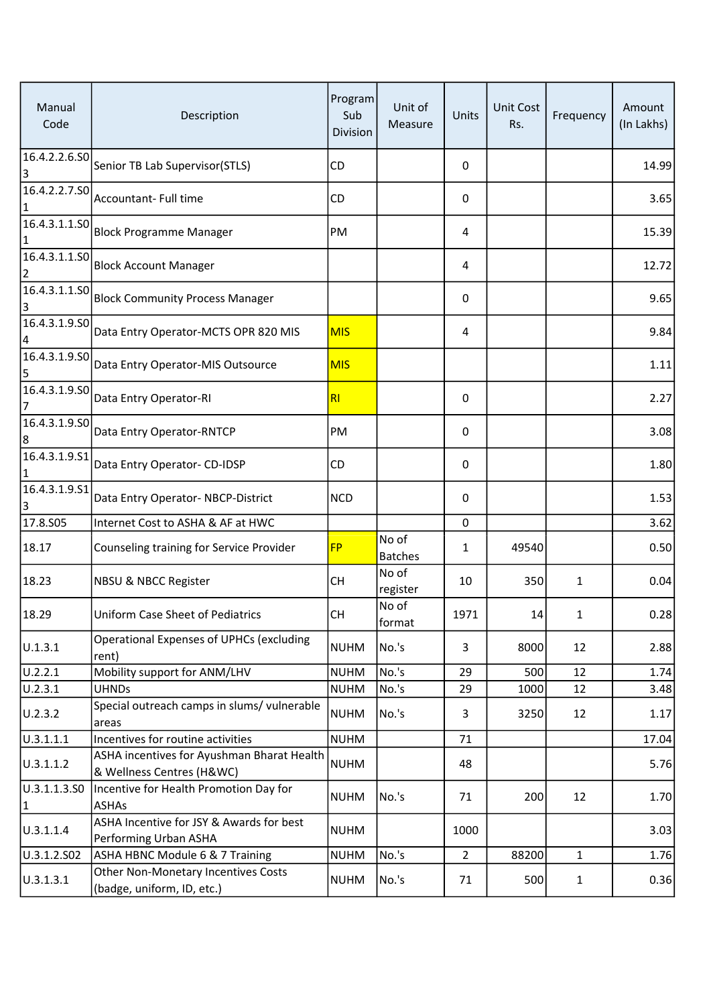| Manual<br>Code                  | Description                                                             | Program<br>Sub<br><b>Division</b> | Unit of<br>Measure      | Units          | <b>Unit Cost</b><br>Rs. | Frequency    | Amount<br>(In Lakhs) |
|---------------------------------|-------------------------------------------------------------------------|-----------------------------------|-------------------------|----------------|-------------------------|--------------|----------------------|
| 3                               | $\boxed{16.4.2.2.6.50}$ Senior TB Lab Supervisor(STLS)                  | CD                                |                         | 0              |                         |              | 14.99                |
| 16.4.2.2.7.50<br>1              | Accountant- Full time                                                   | CD                                |                         | 0              |                         |              | 3.65                 |
| 16.4.3.1.1.50<br>1              | Block Programme Manager                                                 | PM                                |                         | 4              |                         |              | 15.39                |
| 16.4.3.1.1.SO<br>$\overline{2}$ | <b>Block Account Manager</b>                                            |                                   |                         | 4              |                         |              | 12.72                |
| 16.4.3.1.1.50<br>3              | <b>Block Community Process Manager</b>                                  |                                   |                         | 0              |                         |              | 9.65                 |
| 16.4.3.1.9.50<br>4              | Data Entry Operator-MCTS OPR 820 MIS                                    | <b>MIS</b>                        |                         | 4              |                         |              | 9.84                 |
| 16.4.3.1.9.50<br>5              | Data Entry Operator-MIS Outsource                                       | <b>MIS</b>                        |                         |                |                         |              | 1.11                 |
| 16.4.3.1.9.50<br>7              | Data Entry Operator-RI                                                  | R <sub>l</sub>                    |                         | 0              |                         |              | 2.27                 |
| 16.4.3.1.9.50<br>8              | Data Entry Operator-RNTCP                                               | PM                                |                         | $\mathbf{0}$   |                         |              | 3.08                 |
| 16.4.3.1.9.51<br>1              | Data Entry Operator- CD-IDSP                                            | CD                                |                         | 0              |                         |              | 1.80                 |
| 16.4.3.1.9.51<br>3              | Data Entry Operator- NBCP-District                                      | <b>NCD</b>                        |                         | 0              |                         |              | 1.53                 |
| 17.8.S05                        | Internet Cost to ASHA & AF at HWC                                       |                                   |                         | 0              |                         |              | 3.62                 |
| 18.17                           | Counseling training for Service Provider                                | <b>FP</b>                         | No of<br><b>Batches</b> | 1              | 49540                   |              | 0.50                 |
| 18.23                           | NBSU & NBCC Register                                                    | <b>CH</b>                         | No of<br>register       | 10             | 350                     | $\mathbf{1}$ | 0.04                 |
| 18.29                           | Uniform Case Sheet of Pediatrics                                        | <b>CH</b>                         | No of<br>format         | 1971           | 14                      | 1            | 0.28                 |
| U.1.3.1                         | Operational Expenses of UPHCs (excluding<br>rent)                       | <b>NUHM</b>                       | No.'s                   | 3              | 8000                    | 12           | 2.88                 |
| U.2.2.1                         | Mobility support for ANM/LHV                                            | <b>NUHM</b>                       | No.'s                   | 29             | 500                     | 12           | 1.74                 |
| U.2.3.1                         | <b>UHNDs</b>                                                            | <b>NUHM</b>                       | No.'s                   | 29             | 1000                    | 12           | 3.48                 |
| U.2.3.2                         | Special outreach camps in slums/ vulnerable<br>areas                    | <b>NUHM</b>                       | No.'s                   | 3              | 3250                    | 12           | 1.17                 |
| U.3.1.1.1                       | Incentives for routine activities                                       | <b>NUHM</b>                       |                         | 71             |                         |              | 17.04                |
| U.3.1.1.2                       | ASHA incentives for Ayushman Bharat Health<br>& Wellness Centres (H&WC) | <b>NUHM</b>                       |                         | 48             |                         |              | 5.76                 |
| U.3.1.1.3.SO<br>$\mathbf{1}$    | Incentive for Health Promotion Day for<br><b>ASHAs</b>                  | <b>NUHM</b>                       | No.'s                   | 71             | 200                     | 12           | 1.70                 |
| U.3.1.1.4                       | ASHA Incentive for JSY & Awards for best<br>Performing Urban ASHA       | <b>NUHM</b>                       |                         | 1000           |                         |              | 3.03                 |
| U.3.1.2.S02                     | ASHA HBNC Module 6 & 7 Training                                         | <b>NUHM</b>                       | No.'s                   | $\overline{2}$ | 88200                   | $\mathbf{1}$ | 1.76                 |
| U.3.1.3.1                       | Other Non-Monetary Incentives Costs<br>(badge, uniform, ID, etc.)       | <b>NUHM</b>                       | No.'s                   | 71             | 500                     | $\mathbf{1}$ | 0.36                 |